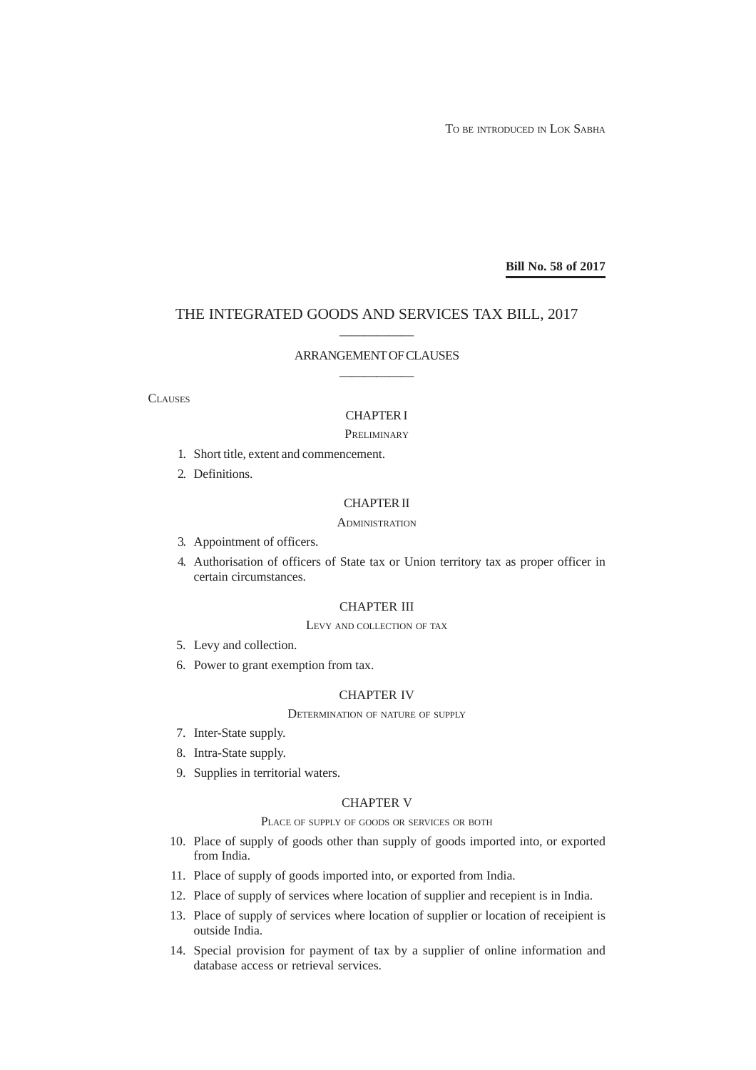TO BE INTRODUCED IN LOK SABHA

**Bill No. 58 of 2017**

# THE INTEGRATED GOODS AND SERVICES TAX BILL, 2017

# —————— ARRANGEMENT OF CLAUSES ——————

#### **CLAUSES**

## CHAPTER I

#### **PRELIMINARY**

- 1. Short title, extent and commencement.
- 2. Definitions.

## CHAPTER II

### **ADMINISTRATION**

- 3. Appointment of officers.
- 4. Authorisation of officers of State tax or Union territory tax as proper officer in certain circumstances.

## CHAPTER III

#### LEVY AND COLLECTION OF TAX

- 5. Levy and collection.
- 6. Power to grant exemption from tax.

## CHAPTER IV

#### DETERMINATION OF NATURE OF SUPPLY

- 7. Inter-State supply.
- 8. Intra-State supply.
- 9. Supplies in territorial waters.

#### CHAPTER V

PLACE OF SUPPLY OF GOODS OR SERVICES OR BOTH

- 10. Place of supply of goods other than supply of goods imported into, or exported from India.
- 11. Place of supply of goods imported into, or exported from India.
- 12. Place of supply of services where location of supplier and recepient is in India.
- 13. Place of supply of services where location of supplier or location of receipient is outside India.
- 14. Special provision for payment of tax by a supplier of online information and database access or retrieval services.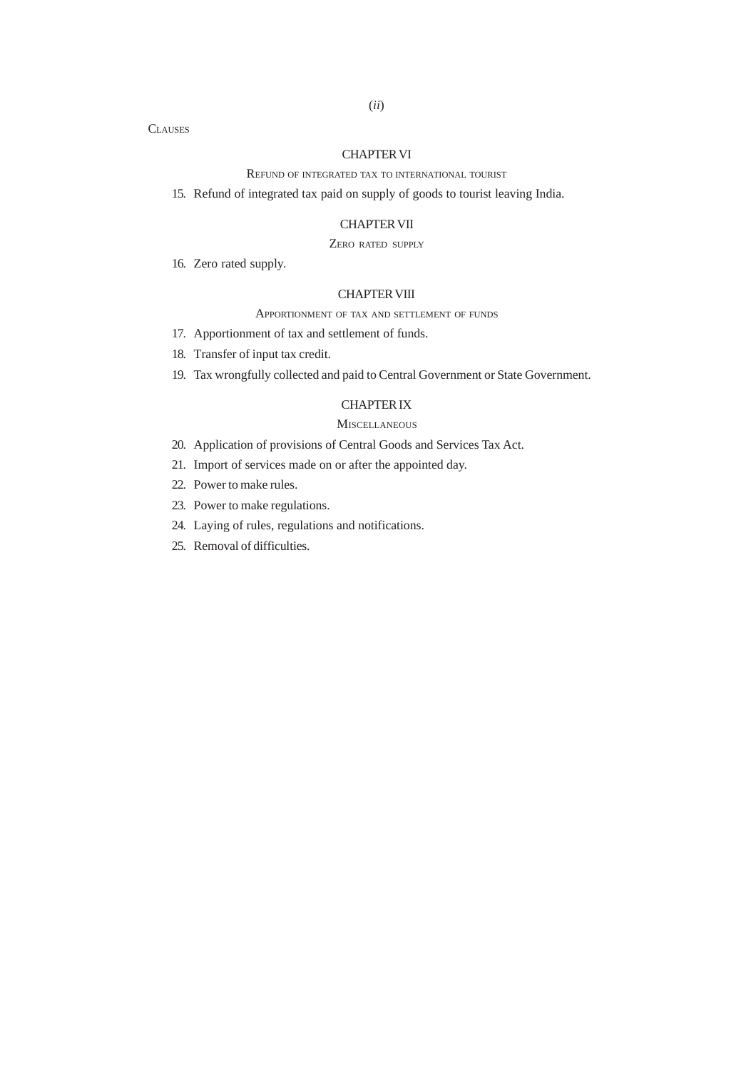# CHAPTER VI REFUND OF INTEGRATED TAX TO INTERNATIONAL TOURIST

15. Refund of integrated tax paid on supply of goods to tourist leaving India.

## CHAPTER VII

# ZERO RATED SUPPLY

16. Zero rated supply.

**CLAUSES** 

## CHAPTER VIII

#### APPORTIONMENT OF TAX AND SETTLEMENT OF FUNDS

- 17. Apportionment of tax and settlement of funds.
- 18. Transfer of input tax credit.
- 19. Tax wrongfully collected and paid to Central Government or State Government.

# CHAPTER IX

## **MISCELLANEOUS**

- 20. Application of provisions of Central Goods and Services Tax Act.
- 21. Import of services made on or after the appointed day.
- 22. Power to make rules.
- 23. Power to make regulations.
- 24. Laying of rules, regulations and notifications.
- 25. Removal of difficulties.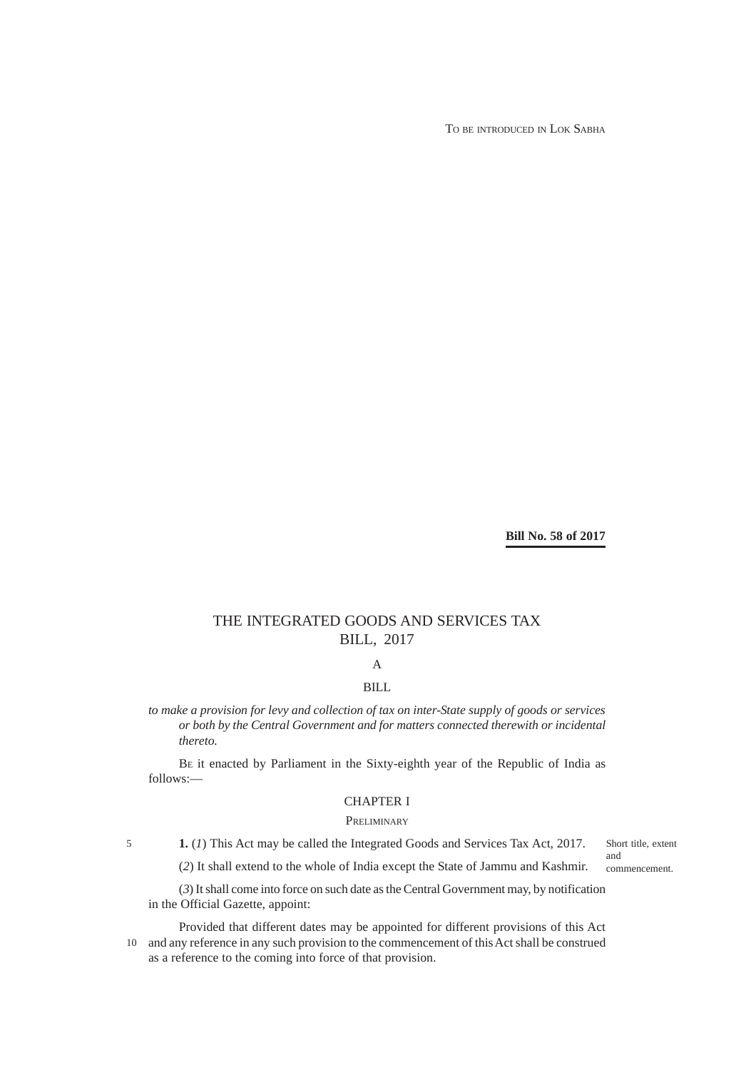TO BE INTRODUCED IN LOK SABHA

**Bill No. 58 of 2017**

# THE INTEGRATED GOODS AND SERVICES TAX BILL, 2017

A

# BILL

*to make a provision for levy and collection of tax on inter-State supply of goods or services or both by the Central Government and for matters connected therewith or incidental thereto.*

BE it enacted by Parliament in the Sixty-eighth year of the Republic of India as follows:—

# CHAPTER I

## **PRELIMINARY**

Short title, extent and commencement.

**1.** (*1*) This Act may be called the Integrated Goods and Services Tax Act, 2017.

5

(*2*) It shall extend to the whole of India except the State of Jammu and Kashmir.

(*3*) It shall come into force on such date as the Central Government may, by notification in the Official Gazette, appoint:

Provided that different dates may be appointed for different provisions of this Act and any reference in any such provision to the commencement of this Act shall be construed 10 as a reference to the coming into force of that provision.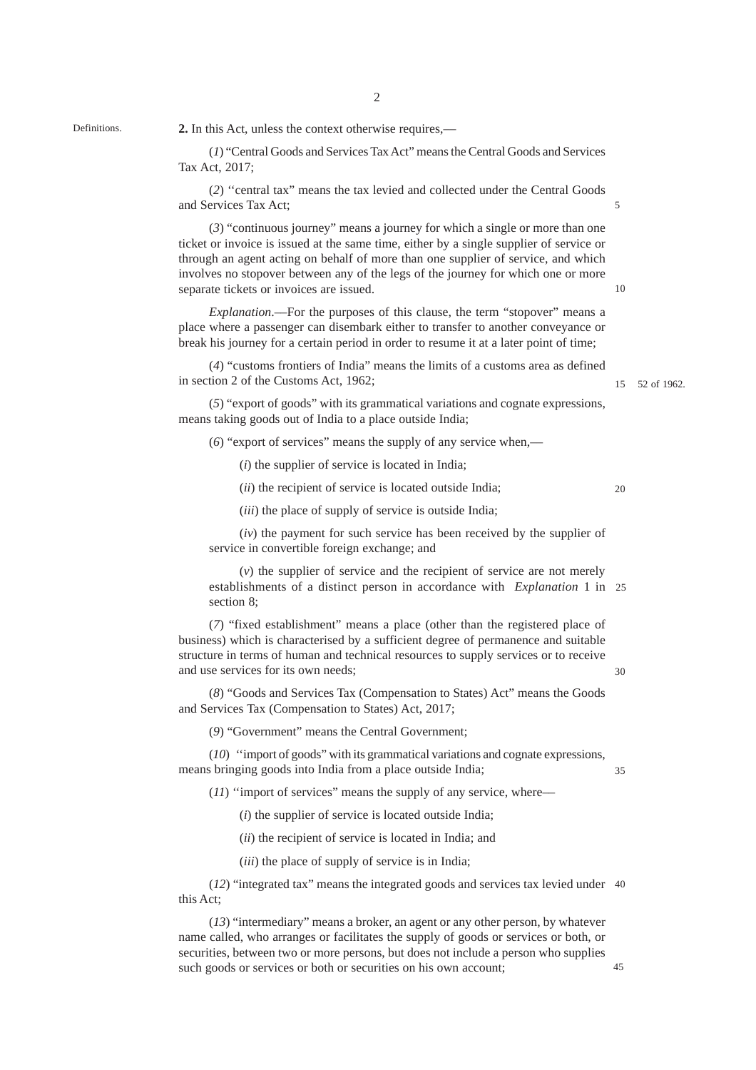2

Definitions.

**2.** In this Act, unless the context otherwise requires,––

(*1*) "Central Goods and Services Tax Act" means the Central Goods and Services Tax Act, 2017;

(*2*) ''central tax" means the tax levied and collected under the Central Goods and Services Tax Act;

(*3*) "continuous journey" means a journey for which a single or more than one ticket or invoice is issued at the same time, either by a single supplier of service or through an agent acting on behalf of more than one supplier of service, and which involves no stopover between any of the legs of the journey for which one or more separate tickets or invoices are issued.

*Explanation*.––For the purposes of this clause, the term "stopover" means a place where a passenger can disembark either to transfer to another conveyance or break his journey for a certain period in order to resume it at a later point of time;

(*4*) "customs frontiers of India" means the limits of a customs area as defined in section 2 of the Customs Act, 1962;

52 of 1962. 15

(*5*) "export of goods" with its grammatical variations and cognate expressions, means taking goods out of India to a place outside India;

(*6*) "export of services" means the supply of any service when,––

(*i*) the supplier of service is located in India;

(*ii*) the recipient of service is located outside India;

 $20$ 

(*iii*) the place of supply of service is outside India;

(*iv*) the payment for such service has been received by the supplier of service in convertible foreign exchange; and

(*v*) the supplier of service and the recipient of service are not merely establishments of a distinct person in accordance with *Explanation* 1 in 25 section 8;

(*7*) "fixed establishment" means a place (other than the registered place of business) which is characterised by a sufficient degree of permanence and suitable structure in terms of human and technical resources to supply services or to receive and use services for its own needs;

(*8*) "Goods and Services Tax (Compensation to States) Act" means the Goods and Services Tax (Compensation to States) Act, 2017;

(*9*) "Government" means the Central Government;

(*10*) ''import of goods" with its grammatical variations and cognate expressions, means bringing goods into India from a place outside India;

35

30

(*11*) "import of services" means the supply of any service, where—

(*i*) the supplier of service is located outside India;

(*ii*) the recipient of service is located in India; and

(*iii*) the place of supply of service is in India;

(*12*) "integrated tax" means the integrated goods and services tax levied under 40 this Act;

(*13*) "intermediary" means a broker, an agent or any other person, by whatever name called, who arranges or facilitates the supply of goods or services or both, or securities, between two or more persons, but does not include a person who supplies such goods or services or both or securities on his own account;

10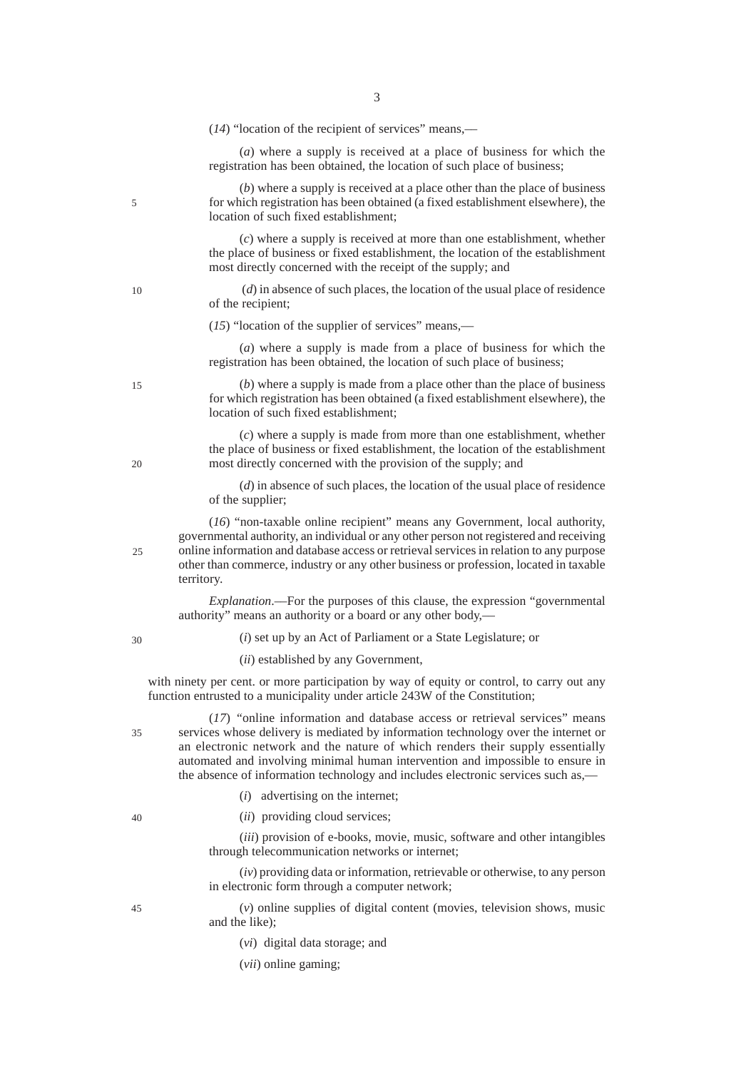|    | $(14)$ "location of the recipient of services" means,—                                                                                                                                                                                                                                                                                                                                                                  |
|----|-------------------------------------------------------------------------------------------------------------------------------------------------------------------------------------------------------------------------------------------------------------------------------------------------------------------------------------------------------------------------------------------------------------------------|
|    | (a) where a supply is received at a place of business for which the<br>registration has been obtained, the location of such place of business;                                                                                                                                                                                                                                                                          |
| 5  | $(b)$ where a supply is received at a place other than the place of business<br>for which registration has been obtained (a fixed establishment elsewhere), the<br>location of such fixed establishment;                                                                                                                                                                                                                |
|    | $(c)$ where a supply is received at more than one establishment, whether<br>the place of business or fixed establishment, the location of the establishment<br>most directly concerned with the receipt of the supply; and                                                                                                                                                                                              |
| 10 | $(d)$ in absence of such places, the location of the usual place of residence<br>of the recipient;                                                                                                                                                                                                                                                                                                                      |
|    | $(15)$ "location of the supplier of services" means,—                                                                                                                                                                                                                                                                                                                                                                   |
|    | (a) where a supply is made from a place of business for which the<br>registration has been obtained, the location of such place of business;                                                                                                                                                                                                                                                                            |
| 15 | $(b)$ where a supply is made from a place other than the place of business<br>for which registration has been obtained (a fixed establishment elsewhere), the<br>location of such fixed establishment;                                                                                                                                                                                                                  |
| 20 | $(c)$ where a supply is made from more than one establishment, whether<br>the place of business or fixed establishment, the location of the establishment<br>most directly concerned with the provision of the supply; and                                                                                                                                                                                              |
|    | $(d)$ in absence of such places, the location of the usual place of residence<br>of the supplier;                                                                                                                                                                                                                                                                                                                       |
| 25 | (16) "non-taxable online recipient" means any Government, local authority,<br>governmental authority, an individual or any other person not registered and receiving<br>online information and database access or retrieval services in relation to any purpose<br>other than commerce, industry or any other business or profession, located in taxable<br>territory.                                                  |
|    | <i>Explanation</i> .—For the purposes of this clause, the expression "governmental<br>authority" means an authority or a board or any other body,—                                                                                                                                                                                                                                                                      |
| 30 | $(i)$ set up by an Act of Parliament or a State Legislature; or                                                                                                                                                                                                                                                                                                                                                         |
|    | (ii) established by any Government,                                                                                                                                                                                                                                                                                                                                                                                     |
|    | with ninety per cent. or more participation by way of equity or control, to carry out any<br>function entrusted to a municipality under article 243W of the Constitution;                                                                                                                                                                                                                                               |
| 35 | (17) "online information and database access or retrieval services" means<br>services whose delivery is mediated by information technology over the internet or<br>an electronic network and the nature of which renders their supply essentially<br>automated and involving minimal human intervention and impossible to ensure in<br>the absence of information technology and includes electronic services such as,— |
|    | advertising on the internet;<br>(i)                                                                                                                                                                                                                                                                                                                                                                                     |
| 40 | (ii) providing cloud services;                                                                                                                                                                                                                                                                                                                                                                                          |

3

(*iii*) provision of e-books, movie, music, software and other intangibles through telecommunication networks or internet;

(*iv*) providing data or information, retrievable or otherwise, to any person in electronic form through a computer network;

(*v*) online supplies of digital content (movies, television shows, music and the like);

- (*vi*) digital data storage; and
- (*vii*) online gaming;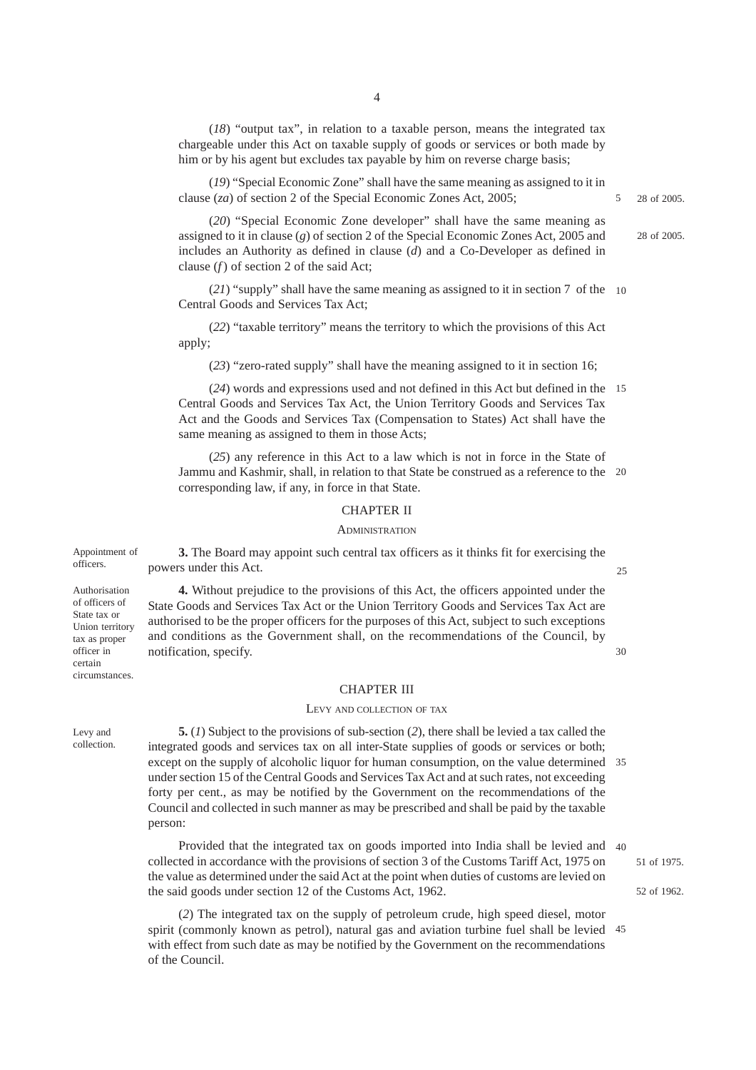(*18*) "output tax", in relation to a taxable person, means the integrated tax chargeable under this Act on taxable supply of goods or services or both made by him or by his agent but excludes tax payable by him on reverse charge basis;

(*19*) "Special Economic Zone" shall have the same meaning as assigned to it in clause (*za*) of section 2 of the Special Economic Zones Act, 2005;

(*20*) "Special Economic Zone developer" shall have the same meaning as assigned to it in clause (*g*) of section 2 of the Special Economic Zones Act, 2005 and includes an Authority as defined in clause (*d*) and a Co-Developer as defined in clause (*f*) of section 2 of the said Act;

(*21*) "supply" shall have the same meaning as assigned to it in section 7 of the 10 Central Goods and Services Tax Act;

(*22*) "taxable territory" means the territory to which the provisions of this Act apply;

(*23*) "zero-rated supply" shall have the meaning assigned to it in section 16;

(*24*) words and expressions used and not defined in this Act but defined in the 15 Central Goods and Services Tax Act, the Union Territory Goods and Services Tax Act and the Goods and Services Tax (Compensation to States) Act shall have the same meaning as assigned to them in those Acts;

(*25*) any reference in this Act to a law which is not in force in the State of Jammu and Kashmir, shall, in relation to that State be construed as a reference to the 20 corresponding law, if any, in force in that State.

#### CHAPTER II

#### **ADMINISTRATION**

**3.** The Board may appoint such central tax officers as it thinks fit for exercising the powers under this Act. Appointment of officers.

Authorisation of officers of State tax or Union territory tax as proper officer in certain circumstances.

**4.** Without prejudice to the provisions of this Act, the officers appointed under the State Goods and Services Tax Act or the Union Territory Goods and Services Tax Act are authorised to be the proper officers for the purposes of this Act, subject to such exceptions and conditions as the Government shall, on the recommendations of the Council, by notification, specify.

## CHAPTER III

#### LEVY AND COLLECTION OF TAX

Levy and collection.

**5.** (*1*) Subject to the provisions of sub-section (*2*), there shall be levied a tax called the integrated goods and services tax on all inter-State supplies of goods or services or both; except on the supply of alcoholic liquor for human consumption, on the value determined 35 under section 15 of the Central Goods and Services Tax Act and at such rates, not exceeding forty per cent., as may be notified by the Government on the recommendations of the Council and collected in such manner as may be prescribed and shall be paid by the taxable person:

Provided that the integrated tax on goods imported into India shall be levied and 40 collected in accordance with the provisions of section 3 of the Customs Tariff Act, 1975 on the value as determined under the said Act at the point when duties of customs are levied on the said goods under section 12 of the Customs Act, 1962.

(*2*) The integrated tax on the supply of petroleum crude, high speed diesel, motor spirit (commonly known as petrol), natural gas and aviation turbine fuel shall be levied 45with effect from such date as may be notified by the Government on the recommendations of the Council.

 $25$ 

 $3<sub>0</sub>$ 

51 of 1975.

52 of 1962.

28 of 2005.

5

28 of 2005.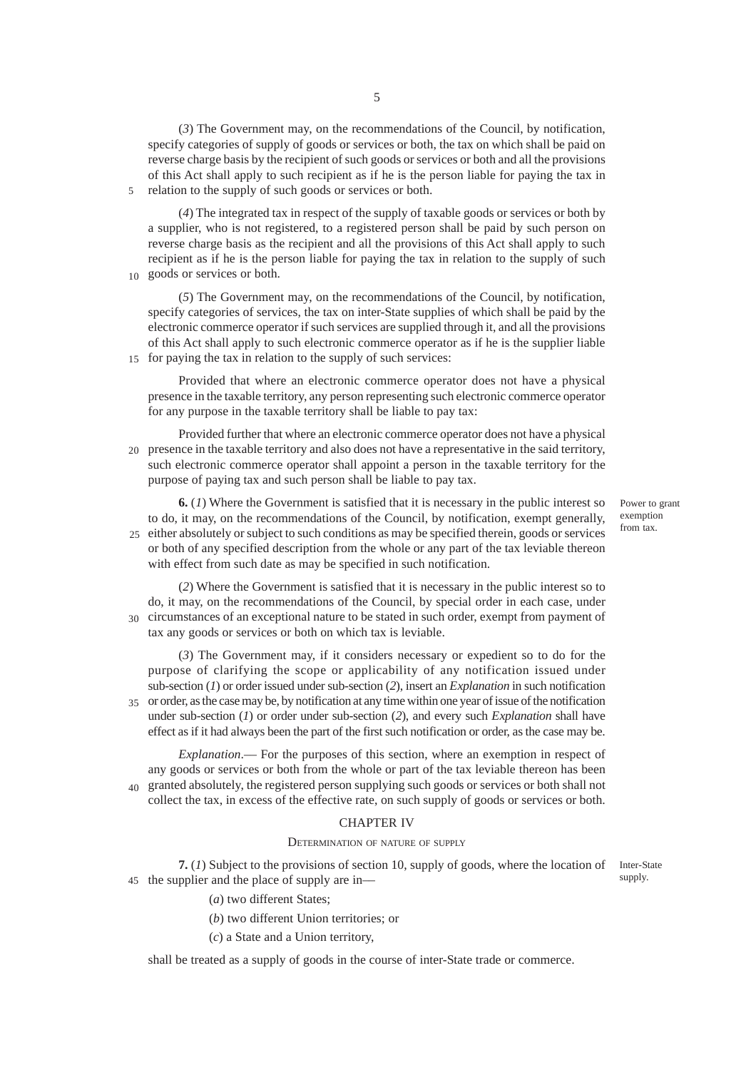(*3*) The Government may, on the recommendations of the Council, by notification, specify categories of supply of goods or services or both, the tax on which shall be paid on reverse charge basis by the recipient of such goods or services or both and all the provisions of this Act shall apply to such recipient as if he is the person liable for paying the tax in relation to the supply of such goods or services or both.

(*4*) The integrated tax in respect of the supply of taxable goods or services or both by a supplier, who is not registered, to a registered person shall be paid by such person on reverse charge basis as the recipient and all the provisions of this Act shall apply to such recipient as if he is the person liable for paying the tax in relation to the supply of such

10 goods or services or both.

5

(*5*) The Government may, on the recommendations of the Council, by notification, specify categories of services, the tax on inter-State supplies of which shall be paid by the electronic commerce operator if such services are supplied through it, and all the provisions of this Act shall apply to such electronic commerce operator as if he is the supplier liable 15 for paying the tax in relation to the supply of such services:

Provided that where an electronic commerce operator does not have a physical presence in the taxable territory, any person representing such electronic commerce operator for any purpose in the taxable territory shall be liable to pay tax:

Provided further that where an electronic commerce operator does not have a physical presence in the taxable territory and also does not have a representative in the said territory, 20 such electronic commerce operator shall appoint a person in the taxable territory for the purpose of paying tax and such person shall be liable to pay tax.

**6.** (*1*) Where the Government is satisfied that it is necessary in the public interest so to do, it may, on the recommendations of the Council, by notification, exempt generally, 25 either absolutely or subject to such conditions as may be specified therein, goods or services or both of any specified description from the whole or any part of the tax leviable thereon with effect from such date as may be specified in such notification.

(*2*) Where the Government is satisfied that it is necessary in the public interest so to do, it may, on the recommendations of the Council, by special order in each case, under circumstances of an exceptional nature to be stated in such order, exempt from payment of 30 tax any goods or services or both on which tax is leviable.

(*3*) The Government may, if it considers necessary or expedient so to do for the purpose of clarifying the scope or applicability of any notification issued under sub-section (*1*) or order issued under sub-section (*2*), insert an *Explanation* in such notification or order, as the case may be, by notification at any time within one year of issue of the notification 35 under sub-section (*1*) or order under sub-section (*2*), and every such *Explanation* shall have effect as if it had always been the part of the first such notification or order, as the case may be.

*Explanation*.–– For the purposes of this section, where an exemption in respect of any goods or services or both from the whole or part of the tax leviable thereon has been <sub>40</sub> granted absolutely, the registered person supplying such goods or services or both shall not collect the tax, in excess of the effective rate, on such supply of goods or services or both.

#### CHAPTER IV

#### DETERMINATION OF NATURE OF SUPPLY

**7.** (*1*) Subject to the provisions of section 10, supply of goods, where the location of 45 the supplier and the place of supply are in-Inter-State supply.

(*a*) two different States;

- (*b*) two different Union territories; or
- (*c*) a State and a Union territory,

shall be treated as a supply of goods in the course of inter-State trade or commerce.

Power to grant exemption from tax.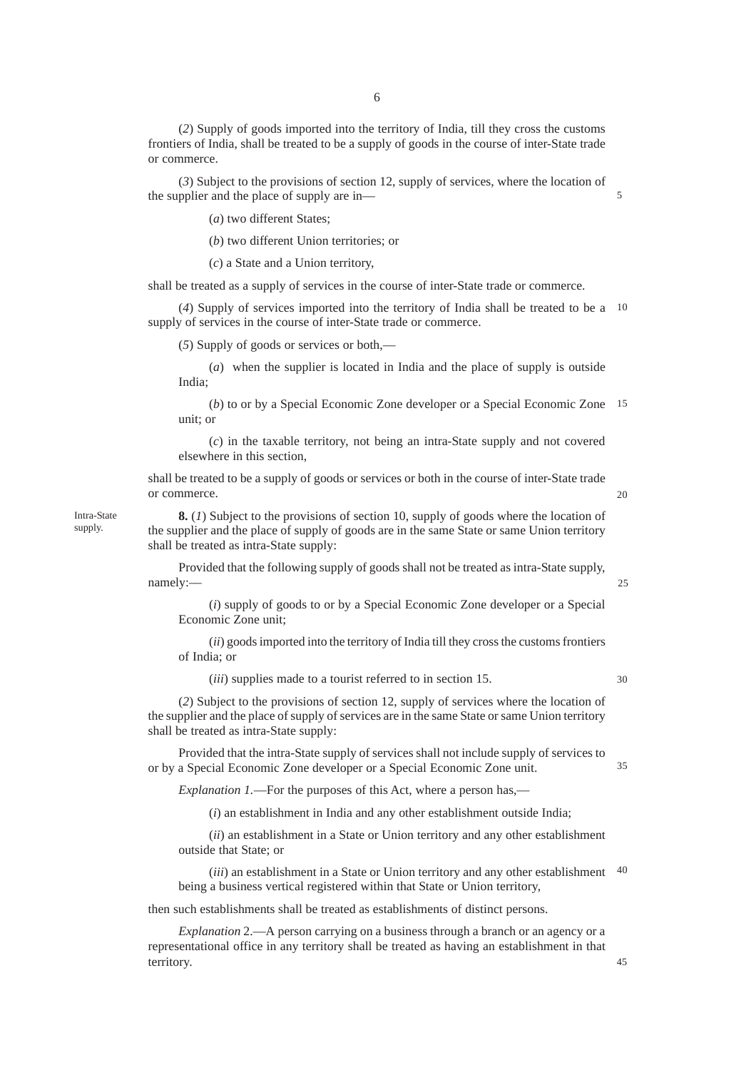(*2*) Supply of goods imported into the territory of India, till they cross the customs frontiers of India, shall be treated to be a supply of goods in the course of inter-State trade or commerce.

(*3*) Subject to the provisions of section 12, supply of services, where the location of the supplier and the place of supply are in––

(*a*) two different States;

(*b*) two different Union territories; or

(*c*) a State and a Union territory,

shall be treated as a supply of services in the course of inter-State trade or commerce.

(*4*) Supply of services imported into the territory of India shall be treated to be a 10 supply of services in the course of inter-State trade or commerce.

(*5*) Supply of goods or services or both,––

Intra-State supply.

(*a*) when the supplier is located in India and the place of supply is outside India;

(*b*) to or by a Special Economic Zone developer or a Special Economic Zone 15 unit; or

(*c*) in the taxable territory, not being an intra-State supply and not covered elsewhere in this section,

shall be treated to be a supply of goods or services or both in the course of inter-State trade or commerce.

20

 $25$ 

5

**8.** (*1*) Subject to the provisions of section 10, supply of goods where the location of the supplier and the place of supply of goods are in the same State or same Union territory shall be treated as intra-State supply:

Provided that the following supply of goods shall not be treated as intra-State supply, namely:––

(*i*) supply of goods to or by a Special Economic Zone developer or a Special Economic Zone unit;

(*ii*) goods imported into the territory of India till they cross the customs frontiers of India; or

(*iii*) supplies made to a tourist referred to in section 15.

30

35

45

(*2*) Subject to the provisions of section 12, supply of services where the location of the supplier and the place of supply of services are in the same State or same Union territory shall be treated as intra-State supply:

Provided that the intra-State supply of services shall not include supply of services to or by a Special Economic Zone developer or a Special Economic Zone unit.

*Explanation 1.*—For the purposes of this Act, where a person has,—

(*i*) an establishment in India and any other establishment outside India;

(*ii*) an establishment in a State or Union territory and any other establishment outside that State; or

(*iii*) an establishment in a State or Union territory and any other establishment 40 being a business vertical registered within that State or Union territory,

then such establishments shall be treated as establishments of distinct persons.

*Explanation* 2.––A person carrying on a business through a branch or an agency or a representational office in any territory shall be treated as having an establishment in that territory.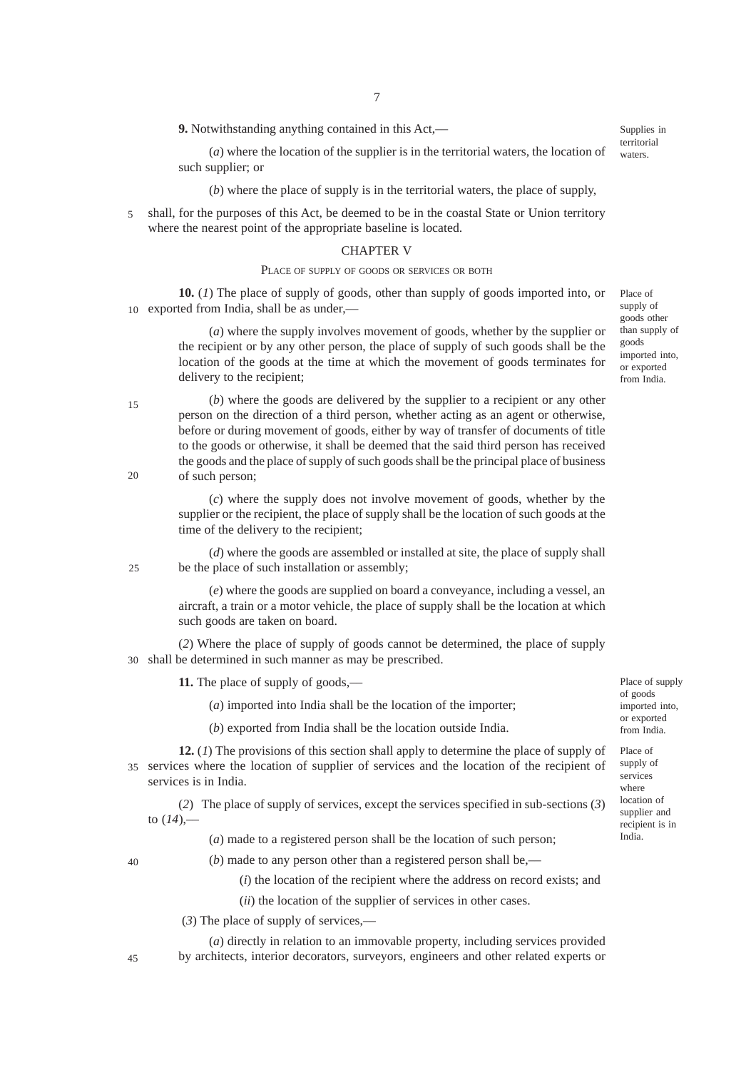**9.** Notwithstanding anything contained in this Act,––

(*a*) where the location of the supplier is in the territorial waters, the location of such supplier; or territorial waters.

(*b*) where the place of supply is in the territorial waters, the place of supply,

shall, for the purposes of this Act, be deemed to be in the coastal State or Union territory where the nearest point of the appropriate baseline is located. 5

#### CHAPTER V

#### PLACE OF SUPPLY OF GOODS OR SERVICES OR BOTH

**10.** (*1*) The place of supply of goods, other than supply of goods imported into, or 10 exported from India, shall be as under,—

> (*a*) where the supply involves movement of goods, whether by the supplier or the recipient or by any other person, the place of supply of such goods shall be the location of the goods at the time at which the movement of goods terminates for delivery to the recipient;

(*b*) where the goods are delivered by the supplier to a recipient or any other person on the direction of a third person, whether acting as an agent or otherwise, before or during movement of goods, either by way of transfer of documents of title to the goods or otherwise, it shall be deemed that the said third person has received the goods and the place of supply of such goods shall be the principal place of business of such person;

(*c*) where the supply does not involve movement of goods, whether by the supplier or the recipient, the place of supply shall be the location of such goods at the time of the delivery to the recipient;

(*d*) where the goods are assembled or installed at site, the place of supply shall be the place of such installation or assembly;

(*e*) where the goods are supplied on board a conveyance, including a vessel, an aircraft, a train or a motor vehicle, the place of supply shall be the location at which such goods are taken on board.

(*2*) Where the place of supply of goods cannot be determined, the place of supply 30 shall be determined in such manner as may be prescribed.

**11.** The place of supply of goods,––

(*a*) imported into India shall be the location of the importer;

(*b*) exported from India shall be the location outside India.

**12.** (*1*) The provisions of this section shall apply to determine the place of supply of services where the location of supplier of services and the location of the recipient of 35 services is in India.

(*2*) The place of supply of services, except the services specified in sub-sections (*3*) to  $(14)$ ,—

(*a*) made to a registered person shall be the location of such person;

40

15

20

25

 $(b)$  made to any person other than a registered person shall be,—

(*i*) the location of the recipient where the address on record exists; and

(*ii*) the location of the supplier of services in other cases.

(*3*) The place of supply of services,––

(*a*) directly in relation to an immovable property, including services provided by architects, interior decorators, surveyors, engineers and other related experts or Place of supply of goods other than supply of goods imported into, or exported from India.

Supplies in

Place of supply of goods imported into, or exported from India.

Place of supply of services where location of supplier and recipient is in India.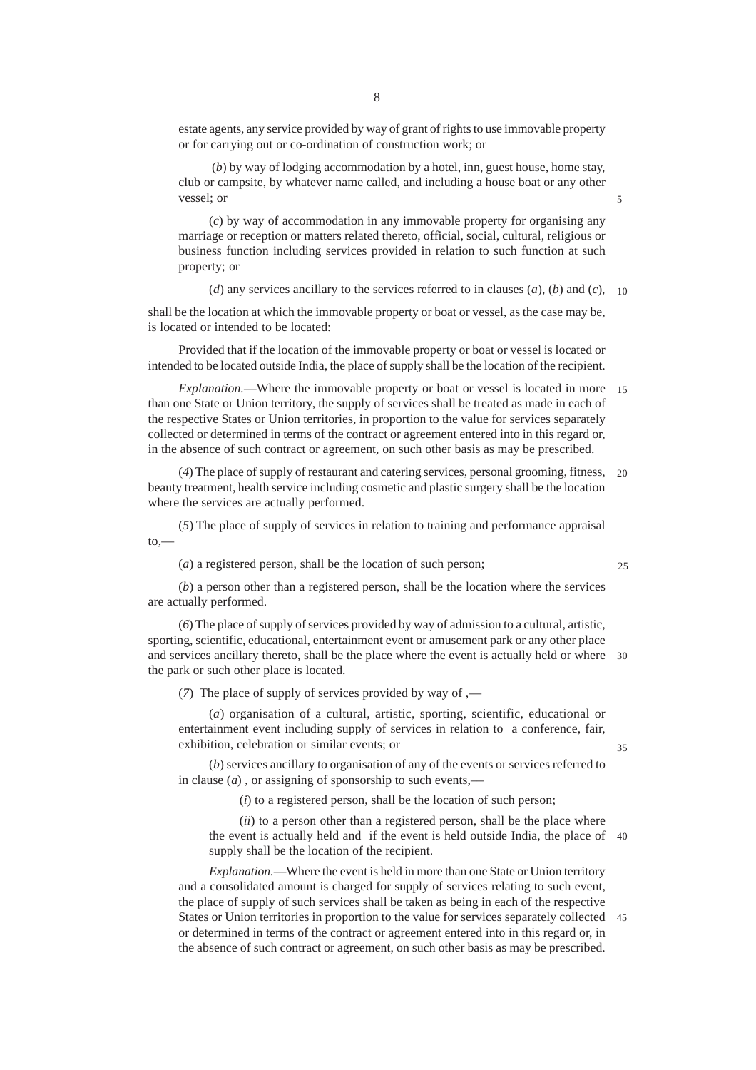estate agents, any service provided by way of grant of rights to use immovable property or for carrying out or co-ordination of construction work; or

 (*b*) by way of lodging accommodation by a hotel, inn, guest house, home stay, club or campsite, by whatever name called, and including a house boat or any other vessel; or

(*c*) by way of accommodation in any immovable property for organising any marriage or reception or matters related thereto, official, social, cultural, religious or business function including services provided in relation to such function at such property; or

(*d*) any services ancillary to the services referred to in clauses  $(a)$ ,  $(b)$  and  $(c)$ , 10

shall be the location at which the immovable property or boat or vessel, as the case may be, is located or intended to be located:

Provided that if the location of the immovable property or boat or vessel is located or intended to be located outside India, the place of supply shall be the location of the recipient.

*Explanation.––*Where the immovable property or boat or vessel is located in more 15 than one State or Union territory, the supply of services shall be treated as made in each of the respective States or Union territories, in proportion to the value for services separately collected or determined in terms of the contract or agreement entered into in this regard or, in the absence of such contract or agreement, on such other basis as may be prescribed.

(*4*) The place of supply of restaurant and catering services, personal grooming, fitness, beauty treatment, health service including cosmetic and plastic surgery shall be the location where the services are actually performed.  $20$ 

(*5*) The place of supply of services in relation to training and performance appraisal  $to,$ 

(*a*) a registered person, shall be the location of such person;

25

35

(*b*) a person other than a registered person, shall be the location where the services are actually performed.

(*6*) The place of supply of services provided by way of admission to a cultural, artistic, sporting, scientific, educational, entertainment event or amusement park or any other place and services ancillary thereto, shall be the place where the event is actually held or where 30 the park or such other place is located.

(*7*) The place of supply of services provided by way of ,—

(*a*) organisation of a cultural, artistic, sporting, scientific, educational or entertainment event including supply of services in relation to a conference, fair, exhibition, celebration or similar events; or

(*b*) services ancillary to organisation of any of the events or services referred to in clause (*a*) , or assigning of sponsorship to such events,––

(*i*) to a registered person, shall be the location of such person;

(*ii*) to a person other than a registered person, shall be the place where the event is actually held and if the event is held outside India, the place of 40 supply shall be the location of the recipient.

*Explanation.*––Where the event is held in more than one State or Union territory and a consolidated amount is charged for supply of services relating to such event, the place of supply of such services shall be taken as being in each of the respective States or Union territories in proportion to the value for services separately collected 45or determined in terms of the contract or agreement entered into in this regard or, in the absence of such contract or agreement, on such other basis as may be prescribed.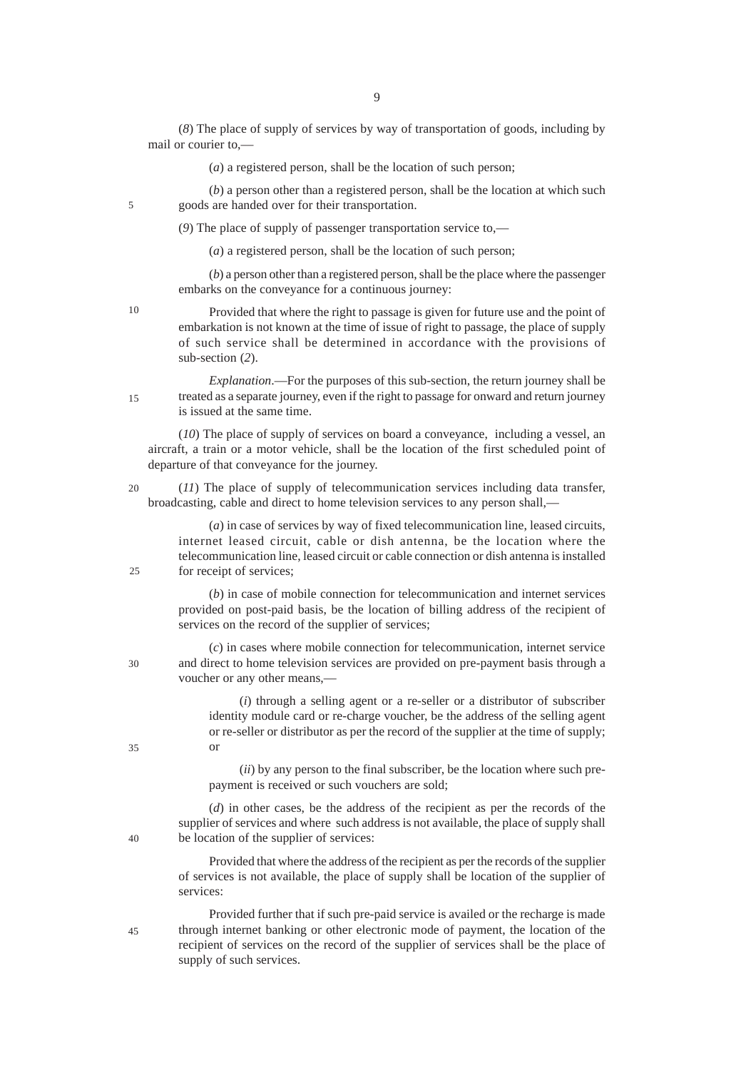(*8*) The place of supply of services by way of transportation of goods, including by mail or courier to,––

(*a*) a registered person, shall be the location of such person;

(*b*) a person other than a registered person, shall be the location at which such goods are handed over for their transportation.

(*9*) The place of supply of passenger transportation service to,—

(*a*) a registered person, shall be the location of such person;

(*b*) a person other than a registered person, shall be the place where the passenger embarks on the conveyance for a continuous journey:

10

5

Provided that where the right to passage is given for future use and the point of embarkation is not known at the time of issue of right to passage, the place of supply of such service shall be determined in accordance with the provisions of sub-section (*2*).

*Explanation*.––For the purposes of this sub-section, the return journey shall be treated as a separate journey, even if the right to passage for onward and return journey is issued at the same time. 15

(*10*) The place of supply of services on board a conveyance, including a vessel, an aircraft, a train or a motor vehicle, shall be the location of the first scheduled point of departure of that conveyance for the journey.

(*11*) The place of supply of telecommunication services including data transfer, broadcasting, cable and direct to home television services to any person shall,—  $20$ 

> (*a*) in case of services by way of fixed telecommunication line, leased circuits, internet leased circuit, cable or dish antenna, be the location where the telecommunication line, leased circuit or cable connection or dish antenna is installed for receipt of services;

> (*b*) in case of mobile connection for telecommunication and internet services provided on post-paid basis, be the location of billing address of the recipient of services on the record of the supplier of services;

(*c*) in cases where mobile connection for telecommunication, internet service and direct to home television services are provided on pre-payment basis through a voucher or any other means,––

(*i*) through a selling agent or a re-seller or a distributor of subscriber identity module card or re-charge voucher, be the address of the selling agent or re-seller or distributor as per the record of the supplier at the time of supply; or

(*ii*) by any person to the final subscriber, be the location where such prepayment is received or such vouchers are sold;

(*d*) in other cases, be the address of the recipient as per the records of the supplier of services and where such address is not available, the place of supply shall be location of the supplier of services:

Provided that where the address of the recipient as per the records of the supplier of services is not available, the place of supply shall be location of the supplier of services:

45

Provided further that if such pre-paid service is availed or the recharge is made through internet banking or other electronic mode of payment, the location of the recipient of services on the record of the supplier of services shall be the place of supply of such services.

 $25$ 

35

40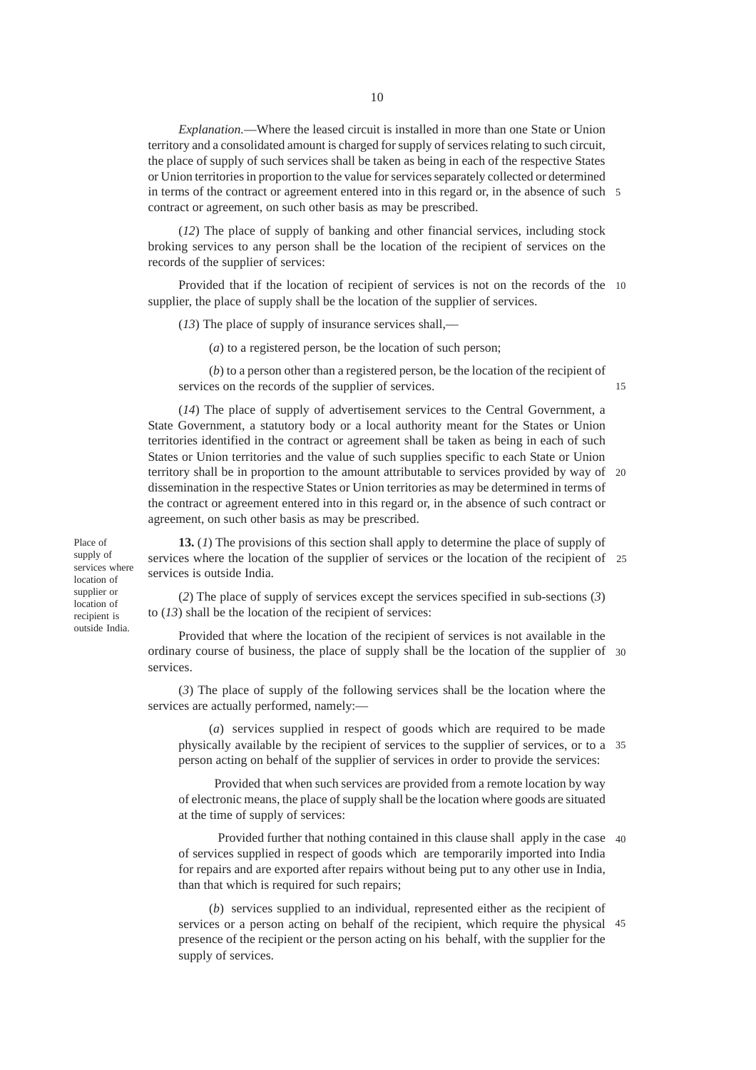*Explanation.––*Where the leased circuit is installed in more than one State or Union territory and a consolidated amount is charged for supply of services relating to such circuit, the place of supply of such services shall be taken as being in each of the respective States or Union territories in proportion to the value for services separately collected or determined in terms of the contract or agreement entered into in this regard or, in the absence of such 5 contract or agreement, on such other basis as may be prescribed.

(*12*) The place of supply of banking and other financial services, including stock broking services to any person shall be the location of the recipient of services on the records of the supplier of services:

Provided that if the location of recipient of services is not on the records of the 10 supplier, the place of supply shall be the location of the supplier of services.

(*13*) The place of supply of insurance services shall,––

(*a*) to a registered person, be the location of such person;

(*b*) to a person other than a registered person, be the location of the recipient of services on the records of the supplier of services.

15

(*14*) The place of supply of advertisement services to the Central Government, a State Government, a statutory body or a local authority meant for the States or Union territories identified in the contract or agreement shall be taken as being in each of such States or Union territories and the value of such supplies specific to each State or Union territory shall be in proportion to the amount attributable to services provided by way of 20 dissemination in the respective States or Union territories as may be determined in terms of the contract or agreement entered into in this regard or, in the absence of such contract or agreement, on such other basis as may be prescribed.

Place of supply of services where location of supplier or location of recipient is outside India.

**13.** (*1*) The provisions of this section shall apply to determine the place of supply of services where the location of the supplier of services or the location of the recipient of 25 services is outside India.

(*2*) The place of supply of services except the services specified in sub-sections (*3*) to (*13*) shall be the location of the recipient of services:

Provided that where the location of the recipient of services is not available in the ordinary course of business, the place of supply shall be the location of the supplier of 30 services.

(*3*) The place of supply of the following services shall be the location where the services are actually performed, namely:—

(*a*) services supplied in respect of goods which are required to be made physically available by the recipient of services to the supplier of services, or to a 35 person acting on behalf of the supplier of services in order to provide the services:

 Provided that when such services are provided from a remote location by way of electronic means, the place of supply shall be the location where goods are situated at the time of supply of services:

 Provided further that nothing contained in this clause shall apply in the case 40 of services supplied in respect of goods which are temporarily imported into India for repairs and are exported after repairs without being put to any other use in India, than that which is required for such repairs;

(*b*) services supplied to an individual, represented either as the recipient of services or a person acting on behalf of the recipient, which require the physical 45presence of the recipient or the person acting on his behalf, with the supplier for the supply of services.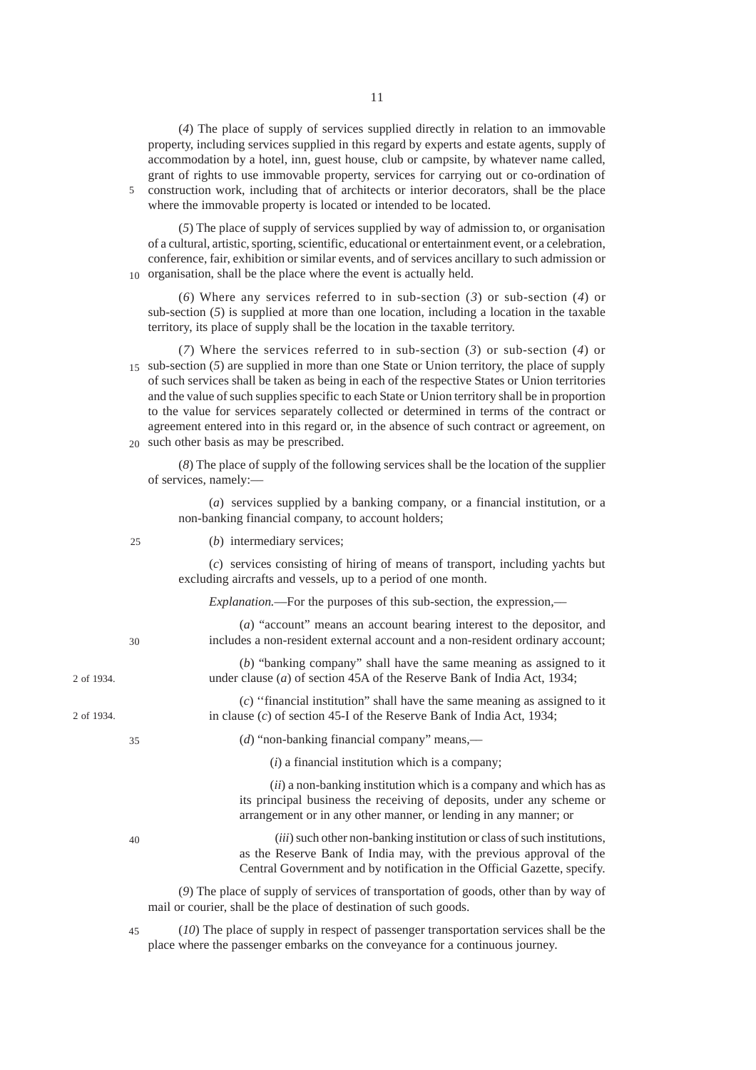(*4*) The place of supply of services supplied directly in relation to an immovable property, including services supplied in this regard by experts and estate agents, supply of accommodation by a hotel, inn, guest house, club or campsite, by whatever name called, grant of rights to use immovable property, services for carrying out or co-ordination of construction work, including that of architects or interior decorators, shall be the place where the immovable property is located or intended to be located.

5

(*5*) The place of supply of services supplied by way of admission to, or organisation of a cultural, artistic, sporting, scientific, educational or entertainment event, or a celebration, conference, fair, exhibition or similar events, and of services ancillary to such admission or 10 organisation, shall be the place where the event is actually held.

(*6*) Where any services referred to in sub-section (*3*) or sub-section (*4*) or sub-section (*5*) is supplied at more than one location, including a location in the taxable territory, its place of supply shall be the location in the taxable territory.

(*7*) Where the services referred to in sub-section (*3*) or sub-section (*4*) or 15 sub-section (5) are supplied in more than one State or Union territory, the place of supply of such services shall be taken as being in each of the respective States or Union territories and the value of such supplies specific to each State or Union territory shall be in proportion to the value for services separately collected or determined in terms of the contract or agreement entered into in this regard or, in the absence of such contract or agreement, on such other basis as may be prescribed.  $20<sup>2</sup>$ 

(*8*) The place of supply of the following services shall be the location of the supplier of services, namely:––

|            | (a) services supplied by a banking company, or a financial institution, or a<br>non-banking financial company, to account holders;                                                                                         |
|------------|----------------------------------------------------------------------------------------------------------------------------------------------------------------------------------------------------------------------------|
| 25         | $(b)$ intermediary services;                                                                                                                                                                                               |
|            | (c) services consisting of hiring of means of transport, including yachts but<br>excluding aircrafts and vessels, up to a period of one month.                                                                             |
|            | <i>Explanation</i> .—For the purposes of this sub-section, the expression,—                                                                                                                                                |
| 30         | (a) "account" means an account bearing interest to the depositor, and<br>includes a non-resident external account and a non-resident ordinary account;                                                                     |
| 2 of 1934. | $(b)$ "banking company" shall have the same meaning as assigned to it<br>under clause ( $a$ ) of section 45A of the Reserve Bank of India Act, 1934;                                                                       |
| 2 of 1934. | $(c)$ "financial institution" shall have the same meaning as assigned to it<br>in clause $(c)$ of section 45-I of the Reserve Bank of India Act, 1934;                                                                     |
| 35         | (d) "non-banking financial company" means,—                                                                                                                                                                                |
|            | $(i)$ a financial institution which is a company;                                                                                                                                                                          |
|            | (ii) a non-banking institution which is a company and which has as<br>its principal business the receiving of deposits, under any scheme or<br>arrangement or in any other manner, or lending in any manner; or            |
| 40         | (iii) such other non-banking institution or class of such institutions,<br>as the Reserve Bank of India may, with the previous approval of the<br>Central Government and by notification in the Official Gazette, specify. |
|            | (9) The place of supply of services of transportation of goods, other than by way of<br>mail or courier, shall be the place of destination of such goods.                                                                  |

(*10*) The place of supply in respect of passenger transportation services shall be the place where the passenger embarks on the conveyance for a continuous journey. 45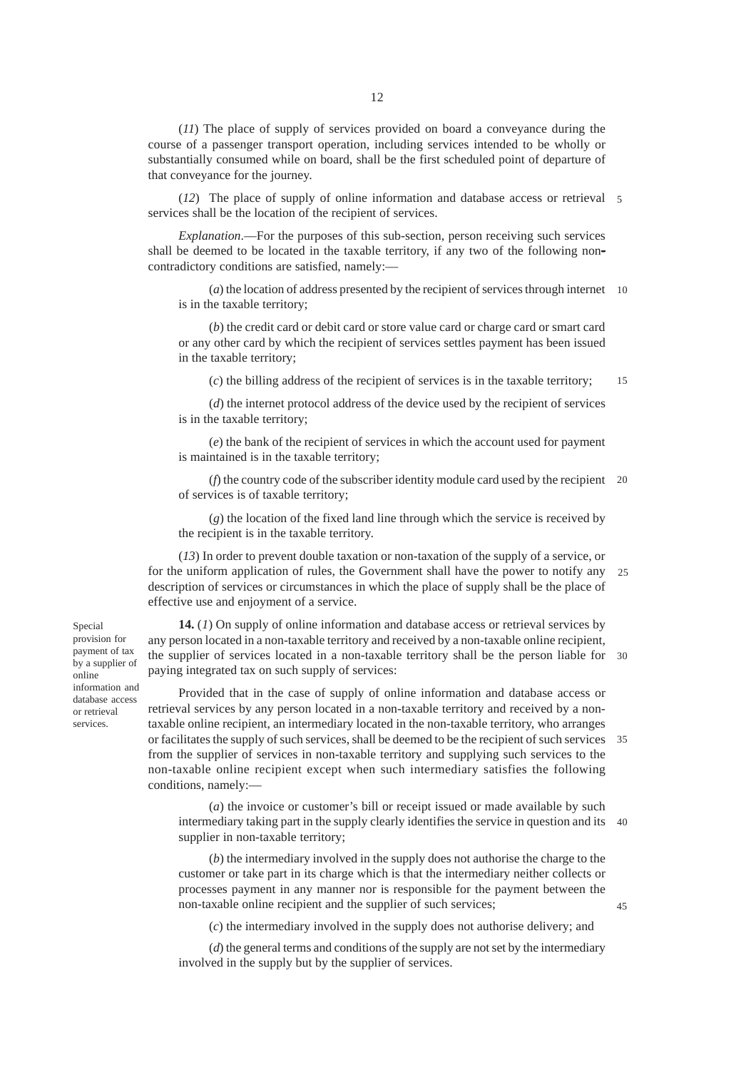(*11*) The place of supply of services provided on board a conveyance during the course of a passenger transport operation, including services intended to be wholly or substantially consumed while on board, shall be the first scheduled point of departure of that conveyance for the journey.

(*12*) The place of supply of online information and database access or retrieval 5 services shall be the location of the recipient of services.

*Explanation*.––For the purposes of this sub-section, person receiving such services shall be deemed to be located in the taxable territory, if any two of the following noncontradictory conditions are satisfied, namely:––

(*a*) the location of address presented by the recipient of services through internet 10 is in the taxable territory;

(*b*) the credit card or debit card or store value card or charge card or smart card or any other card by which the recipient of services settles payment has been issued in the taxable territory;

(*c*) the billing address of the recipient of services is in the taxable territory; 15

(*d*) the internet protocol address of the device used by the recipient of services is in the taxable territory;

(*e*) the bank of the recipient of services in which the account used for payment is maintained is in the taxable territory;

(*f*) the country code of the subscriber identity module card used by the recipient 20 of services is of taxable territory;

(*g*) the location of the fixed land line through which the service is received by the recipient is in the taxable territory.

(*13*) In order to prevent double taxation or non-taxation of the supply of a service, or for the uniform application of rules, the Government shall have the power to notify any description of services or circumstances in which the place of supply shall be the place of effective use and enjoyment of a service.  $25$ 

**14.** (*1*) On supply of online information and database access or retrieval services by any person located in a non-taxable territory and received by a non-taxable online recipient, the supplier of services located in a non-taxable territory shall be the person liable for 30 paying integrated tax on such supply of services:

Provided that in the case of supply of online information and database access or retrieval services by any person located in a non-taxable territory and received by a nontaxable online recipient, an intermediary located in the non-taxable territory, who arranges or facilitates the supply of such services, shall be deemed to be the recipient of such services 35 from the supplier of services in non-taxable territory and supplying such services to the non-taxable online recipient except when such intermediary satisfies the following conditions, namely:––

(*a*) the invoice or customer's bill or receipt issued or made available by such intermediary taking part in the supply clearly identifies the service in question and its 40 supplier in non-taxable territory;

(*b*) the intermediary involved in the supply does not authorise the charge to the customer or take part in its charge which is that the intermediary neither collects or processes payment in any manner nor is responsible for the payment between the non-taxable online recipient and the supplier of such services;

(*c*) the intermediary involved in the supply does not authorise delivery; and

(*d*) the general terms and conditions of the supply are not set by the intermediary involved in the supply but by the supplier of services.

Special provision for payment of tax by a supplier of online information and database access or retrieval services.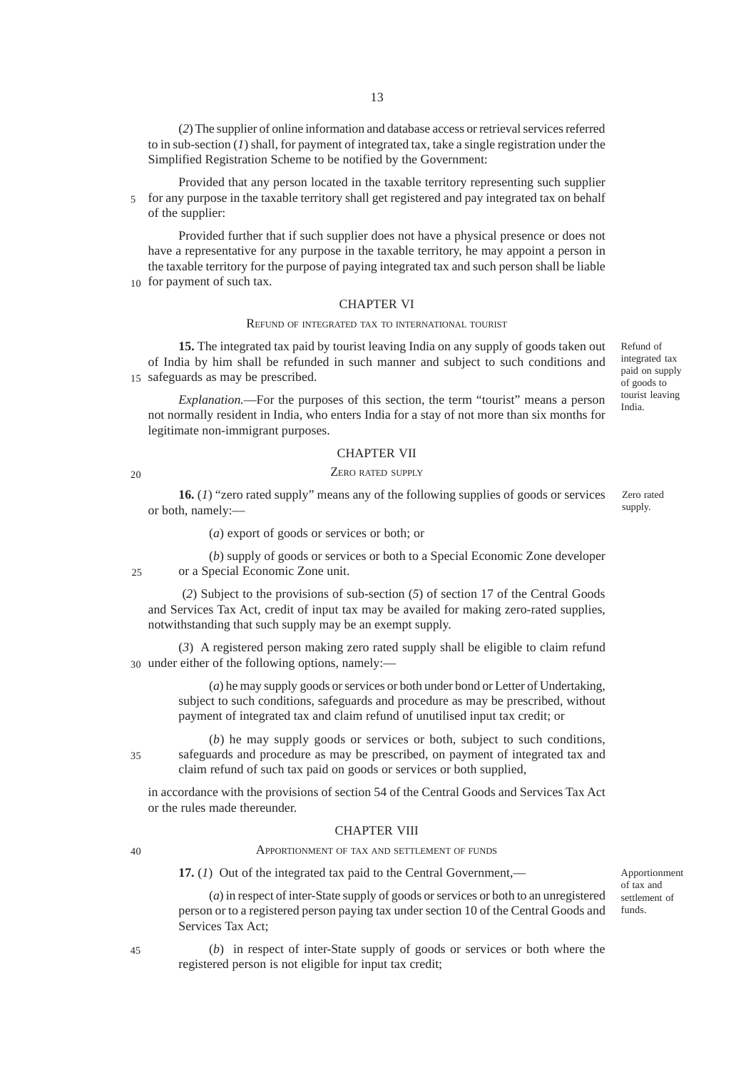(*2*) The supplier of online information and database access or retrieval services referred to in sub-section (*1*) shall, for payment of integrated tax, take a single registration under the Simplified Registration Scheme to be notified by the Government:

Provided that any person located in the taxable territory representing such supplier for any purpose in the taxable territory shall get registered and pay integrated tax on behalf 5 of the supplier:

Provided further that if such supplier does not have a physical presence or does not have a representative for any purpose in the taxable territory, he may appoint a person in the taxable territory for the purpose of paying integrated tax and such person shall be liable 10 for payment of such tax.

#### CHAPTER VI

#### REFUND OF INTEGRATED TAX TO INTERNATIONAL TOURIST

**15.** The integrated tax paid by tourist leaving India on any supply of goods taken out of India by him shall be refunded in such manner and subject to such conditions and 15 safeguards as may be prescribed.

*Explanation.*––For the purposes of this section, the term "tourist" means a person not normally resident in India, who enters India for a stay of not more than six months for legitimate non-immigrant purposes.

#### CHAPTER VII

#### ZERO RATED SUPPLY

20

**16.** (*1*) "zero rated supply" means any of the following supplies of goods or services or both, namely:––

(*a*) export of goods or services or both; or

(*b*) supply of goods or services or both to a Special Economic Zone developer or a Special Economic Zone unit. 25

 (*2*) Subject to the provisions of sub-section (*5*) of section 17 of the Central Goods and Services Tax Act, credit of input tax may be availed for making zero-rated supplies, notwithstanding that such supply may be an exempt supply.

(*3*) A registered person making zero rated supply shall be eligible to claim refund 30 under either of the following options, namely:-

> (*a*) he may supply goods or services or both under bond or Letter of Undertaking, subject to such conditions, safeguards and procedure as may be prescribed, without payment of integrated tax and claim refund of unutilised input tax credit; or

35

(*b*) he may supply goods or services or both, subject to such conditions, safeguards and procedure as may be prescribed, on payment of integrated tax and claim refund of such tax paid on goods or services or both supplied,

in accordance with the provisions of section 54 of the Central Goods and Services Tax Act or the rules made thereunder.

# CHAPTER VIII APPORTIONMENT OF TAX AND SETTLEMENT OF FUNDS

 $40$ 

**17.** (*1*) Out of the integrated tax paid to the Central Government,––

(*a*) in respect of inter-State supply of goods or services or both to an unregistered person or to a registered person paying tax under section 10 of the Central Goods and Services Tax Act;

45

(*b*) in respect of inter-State supply of goods or services or both where the registered person is not eligible for input tax credit;

Refund of integrated tax paid on supply of goods to tourist leaving India.

Zero rated supply.

Apportionment of tax and settlement of funds.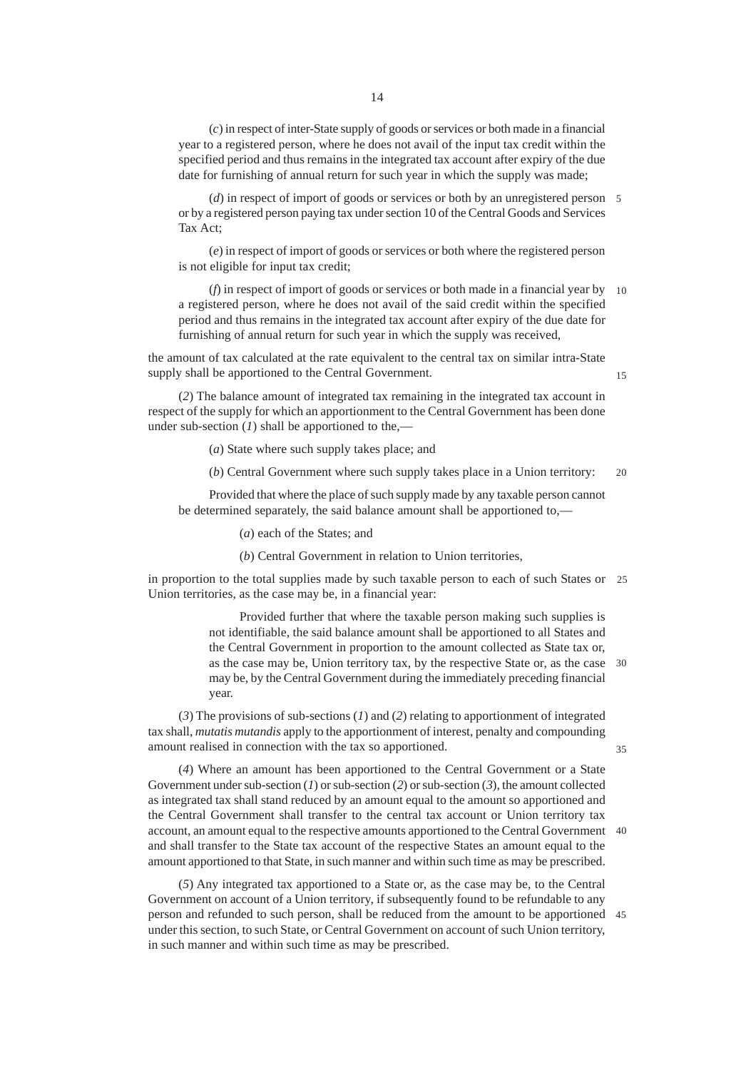(*c*) in respect of inter-State supply of goods or services or both made in a financial year to a registered person, where he does not avail of the input tax credit within the specified period and thus remains in the integrated tax account after expiry of the due date for furnishing of annual return for such year in which the supply was made;

(*d*) in respect of import of goods or services or both by an unregistered person 5 or by a registered person paying tax under section 10 of the Central Goods and Services Tax Act;

(*e*) in respect of import of goods or services or both where the registered person is not eligible for input tax credit;

(*f*) in respect of import of goods or services or both made in a financial year by 10 a registered person, where he does not avail of the said credit within the specified period and thus remains in the integrated tax account after expiry of the due date for furnishing of annual return for such year in which the supply was received,

the amount of tax calculated at the rate equivalent to the central tax on similar intra-State supply shall be apportioned to the Central Government.

15

(*2*) The balance amount of integrated tax remaining in the integrated tax account in respect of the supply for which an apportionment to the Central Government has been done under sub-section  $(I)$  shall be apportioned to the,—

(*a*) State where such supply takes place; and

(*b*) Central Government where such supply takes place in a Union territory: 20

Provided that where the place of such supply made by any taxable person cannot be determined separately, the said balance amount shall be apportioned to,––

(*a*) each of the States; and

(*b*) Central Government in relation to Union territories,

in proportion to the total supplies made by such taxable person to each of such States or 25 Union territories, as the case may be, in a financial year:

> Provided further that where the taxable person making such supplies is not identifiable, the said balance amount shall be apportioned to all States and the Central Government in proportion to the amount collected as State tax or, as the case may be, Union territory tax, by the respective State or, as the case 30 may be, by the Central Government during the immediately preceding financial year.

(*3*) The provisions of sub-sections (*1*) and (*2*) relating to apportionment of integrated tax shall, *mutatis mutandis* apply to the apportionment of interest, penalty and compounding amount realised in connection with the tax so apportioned.

35

(*4*) Where an amount has been apportioned to the Central Government or a State Government under sub-section (*1*) or sub-section (*2*) or sub-section (*3*), the amount collected as integrated tax shall stand reduced by an amount equal to the amount so apportioned and the Central Government shall transfer to the central tax account or Union territory tax account, an amount equal to the respective amounts apportioned to the Central Government 40 and shall transfer to the State tax account of the respective States an amount equal to the amount apportioned to that State, in such manner and within such time as may be prescribed.

(*5*) Any integrated tax apportioned to a State or, as the case may be, to the Central Government on account of a Union territory, if subsequently found to be refundable to any person and refunded to such person, shall be reduced from the amount to be apportioned 45under this section, to such State, or Central Government on account of such Union territory, in such manner and within such time as may be prescribed.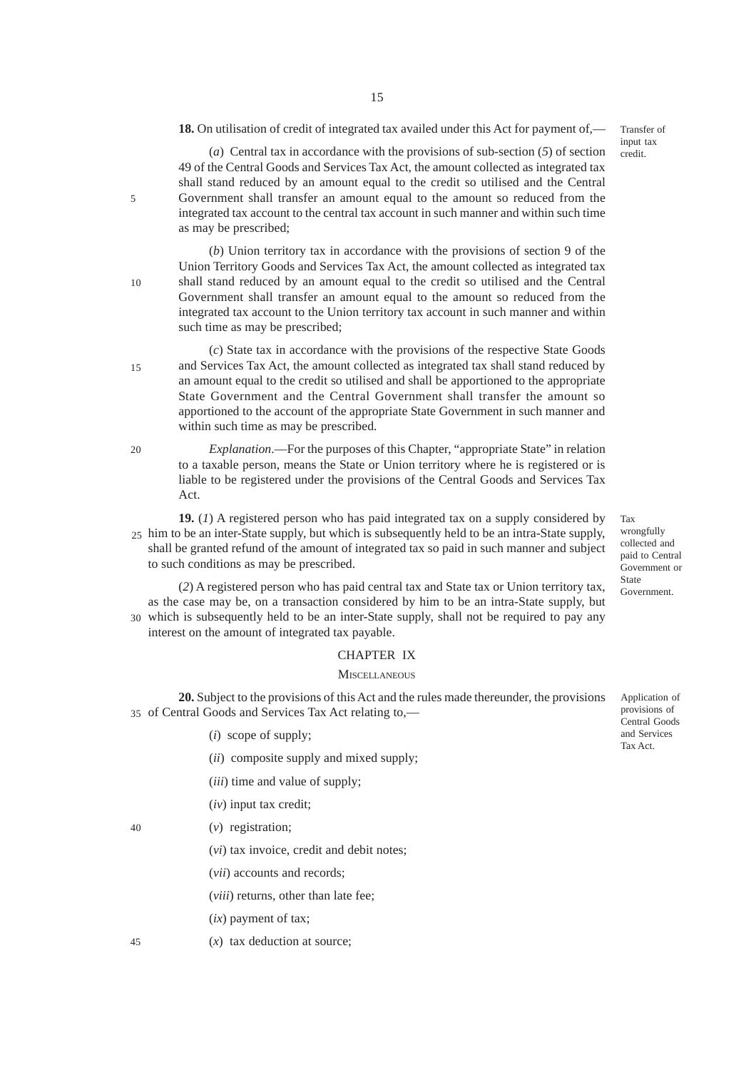**18.** On utilisation of credit of integrated tax availed under this Act for payment of,––

Transfer of input tax credit.

(*a*) Central tax in accordance with the provisions of sub-section (*5*) of section 49 of the Central Goods and Services Tax Act, the amount collected as integrated tax shall stand reduced by an amount equal to the credit so utilised and the Central Government shall transfer an amount equal to the amount so reduced from the integrated tax account to the central tax account in such manner and within such time as may be prescribed;

(*b*) Union territory tax in accordance with the provisions of section 9 of the Union Territory Goods and Services Tax Act, the amount collected as integrated tax shall stand reduced by an amount equal to the credit so utilised and the Central Government shall transfer an amount equal to the amount so reduced from the integrated tax account to the Union territory tax account in such manner and within such time as may be prescribed;

(*c*) State tax in accordance with the provisions of the respective State Goods and Services Tax Act, the amount collected as integrated tax shall stand reduced by an amount equal to the credit so utilised and shall be apportioned to the appropriate State Government and the Central Government shall transfer the amount so apportioned to the account of the appropriate State Government in such manner and within such time as may be prescribed.

20

40

45

15

5

10

*Explanation*.—For the purposes of this Chapter, "appropriate State" in relation to a taxable person, means the State or Union territory where he is registered or is liable to be registered under the provisions of the Central Goods and Services Tax Act.

**19.** (*1*) A registered person who has paid integrated tax on a supply considered by 25 him to be an inter-State supply, but which is subsequently held to be an intra-State supply, shall be granted refund of the amount of integrated tax so paid in such manner and subject to such conditions as may be prescribed.

Tax wrongfully collected and paid to Central Government or State Government.

(*2*) A registered person who has paid central tax and State tax or Union territory tax, as the case may be, on a transaction considered by him to be an intra-State supply, but 30 which is subsequently held to be an inter-State supply, shall not be required to pay any interest on the amount of integrated tax payable.

#### CHAPTER IX

## **MISCELLANEOUS**

**20.** Subject to the provisions of this Act and the rules made thereunder, the provisions 35 of Central Goods and Services Tax Act relating to,-

(*i*) scope of supply;

(*ii*) composite supply and mixed supply;

(*iii*) time and value of supply;

(*iv*) input tax credit;

(*v*) registration;

(*vi*) tax invoice, credit and debit notes;

(*vii*) accounts and records;

(*viii*) returns, other than late fee;

- (*ix*) payment of tax;
- (*x*) tax deduction at source;

Application of provisions of Central Goods and Services Tax Act.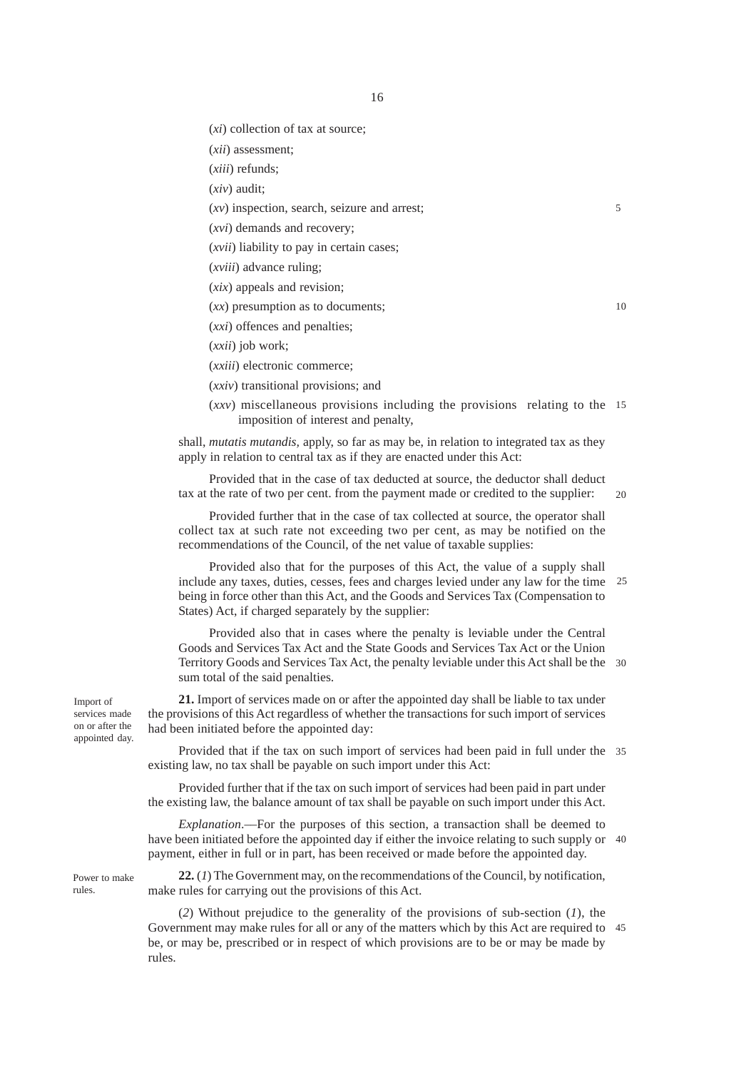(*xi*) collection of tax at source;

(*xii*) assessment;

(*xiii*) refunds;

(*xiv*) audit;

(*xv*) inspection, search, seizure and arrest;

(*xvi*) demands and recovery;

(*xvii*) liability to pay in certain cases;

(*xviii*) advance ruling;

(*xix*) appeals and revision;

(*xx*) presumption as to documents;

(*xxi*) offences and penalties;

(*xxii*) job work;

(*xxiii*) electronic commerce;

(*xxiv*) transitional provisions; and

(*xxv*) miscellaneous provisions including the provisions relating to the 15 imposition of interest and penalty,

shall, *mutatis mutandis,* apply, so far as may be, in relation to integrated tax as they apply in relation to central tax as if they are enacted under this Act:

Provided that in the case of tax deducted at source, the deductor shall deduct tax at the rate of two per cent. from the payment made or credited to the supplier:

20

5

10

Provided further that in the case of tax collected at source, the operator shall collect tax at such rate not exceeding two per cent, as may be notified on the recommendations of the Council, of the net value of taxable supplies:

Provided also that for the purposes of this Act, the value of a supply shall include any taxes, duties, cesses, fees and charges levied under any law for the time being in force other than this Act, and the Goods and Services Tax (Compensation to States) Act, if charged separately by the supplier: 25

Provided also that in cases where the penalty is leviable under the Central Goods and Services Tax Act and the State Goods and Services Tax Act or the Union Territory Goods and Services Tax Act, the penalty leviable under this Act shall be the 30 sum total of the said penalties.

**21.** Import of services made on or after the appointed day shall be liable to tax under the provisions of this Act regardless of whether the transactions for such import of services had been initiated before the appointed day:

Provided that if the tax on such import of services had been paid in full under the 35 existing law, no tax shall be payable on such import under this Act:

Provided further that if the tax on such import of services had been paid in part under the existing law, the balance amount of tax shall be payable on such import under this Act.

*Explanation*.––For the purposes of this section, a transaction shall be deemed to have been initiated before the appointed day if either the invoice relating to such supply or 40 payment, either in full or in part, has been received or made before the appointed day.

Power to make rules.

**22.** (*1*) The Government may, on the recommendations of the Council, by notification, make rules for carrying out the provisions of this Act.

(*2*) Without prejudice to the generality of the provisions of sub-section (*1*), the Government may make rules for all or any of the matters which by this Act are required to 45be, or may be, prescribed or in respect of which provisions are to be or may be made by rules.

Import of

services made on or after the appointed day.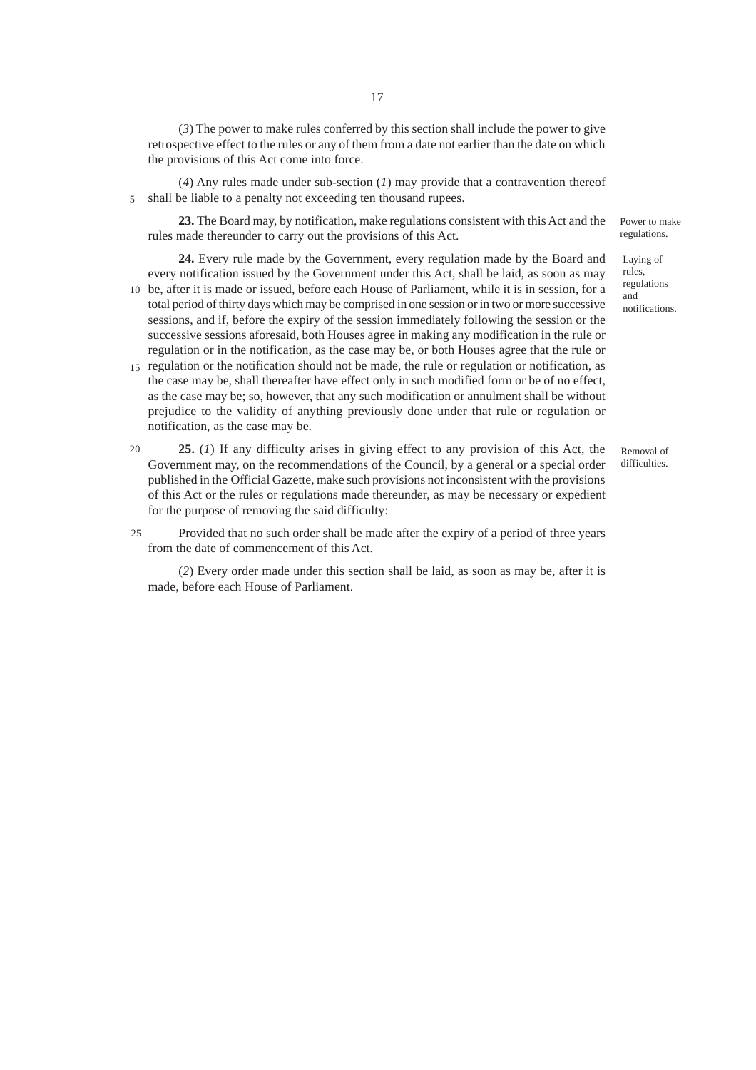(*3*) The power to make rules conferred by this section shall include the power to give retrospective effect to the rules or any of them from a date not earlier than the date on which the provisions of this Act come into force.

(*4*) Any rules made under sub-section (*1*) may provide that a contravention thereof shall be liable to a penalty not exceeding ten thousand rupees. 5

**23.** The Board may, by notification, make regulations consistent with this Act and the rules made thereunder to carry out the provisions of this Act.

**24.** Every rule made by the Government, every regulation made by the Board and every notification issued by the Government under this Act, shall be laid, as soon as may

- 10 be, after it is made or issued, before each House of Parliament, while it is in session, for a total period of thirty days which may be comprised in one session or in two or more successive sessions, and if, before the expiry of the session immediately following the session or the successive sessions aforesaid, both Houses agree in making any modification in the rule or regulation or in the notification, as the case may be, or both Houses agree that the rule or
- 15 regulation or the notification should not be made, the rule or regulation or notification, as the case may be, shall thereafter have effect only in such modified form or be of no effect, as the case may be; so, however, that any such modification or annulment shall be without prejudice to the validity of anything previously done under that rule or regulation or notification, as the case may be.
- **25.** (*1*) If any difficulty arises in giving effect to any provision of this Act, the Government may, on the recommendations of the Council, by a general or a special order published in the Official Gazette, make such provisions not inconsistent with the provisions of this Act or the rules or regulations made thereunder, as may be necessary or expedient for the purpose of removing the said difficulty: 20
- Provided that no such order shall be made after the expiry of a period of three years from the date of commencement of this Act.  $25$

(*2*) Every order made under this section shall be laid, as soon as may be, after it is made, before each House of Parliament.

Power to make regulations.

Laying of rules, regulations and notifications.

Removal of difficulties.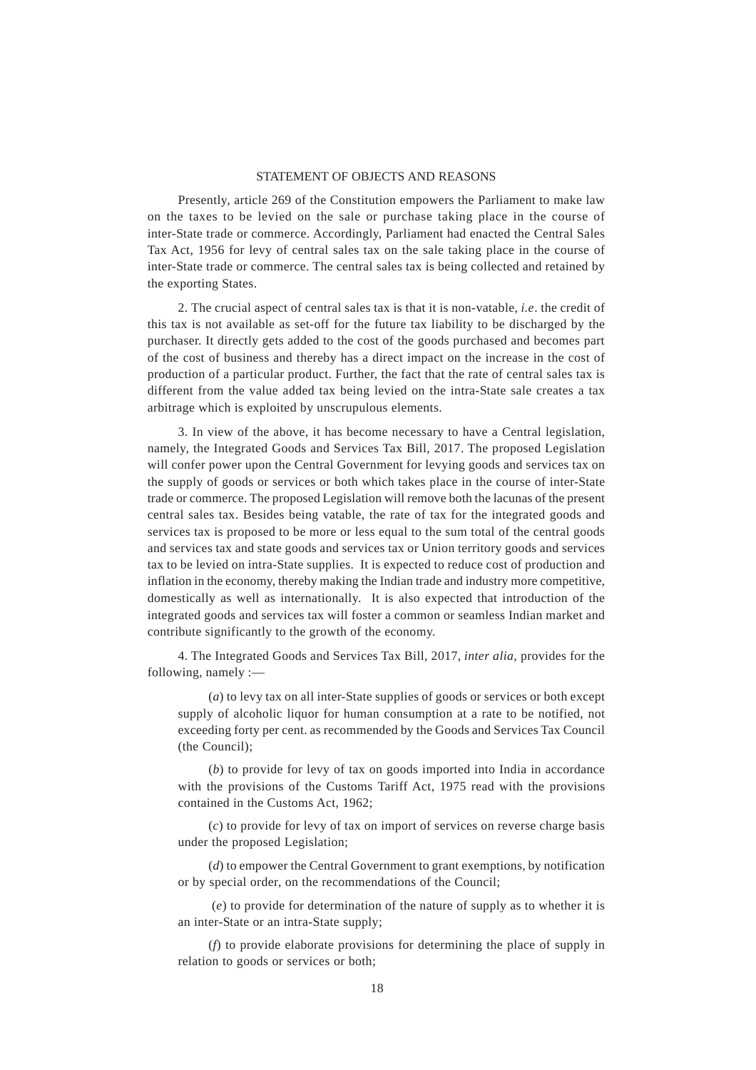# STATEMENT OF OBJECTS AND REASONS

Presently, article 269 of the Constitution empowers the Parliament to make law on the taxes to be levied on the sale or purchase taking place in the course of inter-State trade or commerce. Accordingly, Parliament had enacted the Central Sales Tax Act, 1956 for levy of central sales tax on the sale taking place in the course of inter-State trade or commerce. The central sales tax is being collected and retained by the exporting States.

2. The crucial aspect of central sales tax is that it is non-vatable, *i.e*. the credit of this tax is not available as set-off for the future tax liability to be discharged by the purchaser. It directly gets added to the cost of the goods purchased and becomes part of the cost of business and thereby has a direct impact on the increase in the cost of production of a particular product. Further, the fact that the rate of central sales tax is different from the value added tax being levied on the intra-State sale creates a tax arbitrage which is exploited by unscrupulous elements.

3. In view of the above, it has become necessary to have a Central legislation, namely, the Integrated Goods and Services Tax Bill, 2017. The proposed Legislation will confer power upon the Central Government for levying goods and services tax on the supply of goods or services or both which takes place in the course of inter-State trade or commerce. The proposed Legislation will remove both the lacunas of the present central sales tax. Besides being vatable, the rate of tax for the integrated goods and services tax is proposed to be more or less equal to the sum total of the central goods and services tax and state goods and services tax or Union territory goods and services tax to be levied on intra-State supplies. It is expected to reduce cost of production and inflation in the economy, thereby making the Indian trade and industry more competitive, domestically as well as internationally. It is also expected that introduction of the integrated goods and services tax will foster a common or seamless Indian market and contribute significantly to the growth of the economy.

4. The Integrated Goods and Services Tax Bill, 2017, *inter alia,* provides for the following, namely :—

(*a*) to levy tax on all inter-State supplies of goods or services or both except supply of alcoholic liquor for human consumption at a rate to be notified, not exceeding forty per cent. as recommended by the Goods and Services Tax Council (the Council);

(*b*) to provide for levy of tax on goods imported into India in accordance with the provisions of the Customs Tariff Act, 1975 read with the provisions contained in the Customs Act, 1962;

(*c*) to provide for levy of tax on import of services on reverse charge basis under the proposed Legislation;

(*d*) to empower the Central Government to grant exemptions, by notification or by special order, on the recommendations of the Council;

 (*e*) to provide for determination of the nature of supply as to whether it is an inter-State or an intra-State supply;

(*f*) to provide elaborate provisions for determining the place of supply in relation to goods or services or both;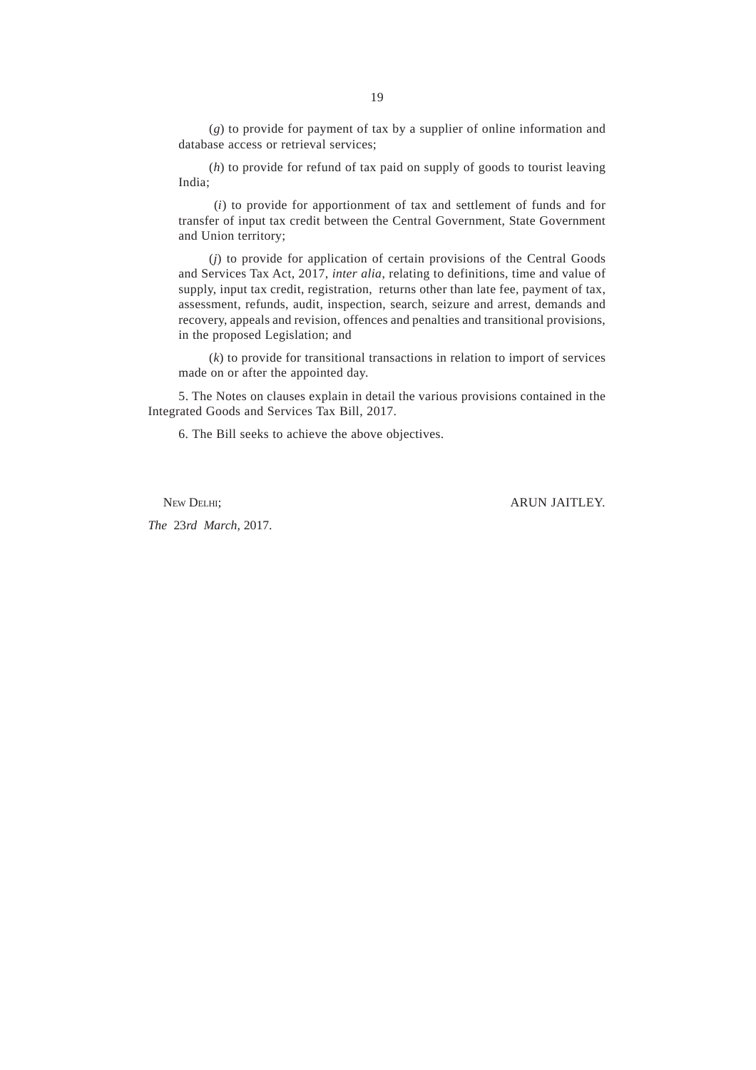(*g*) to provide for payment of tax by a supplier of online information and database access or retrieval services;

(*h*) to provide for refund of tax paid on supply of goods to tourist leaving India;

 (*i*) to provide for apportionment of tax and settlement of funds and for transfer of input tax credit between the Central Government, State Government and Union territory;

(*j*) to provide for application of certain provisions of the Central Goods and Services Tax Act, 2017, *inter alia*, relating to definitions, time and value of supply, input tax credit, registration, returns other than late fee, payment of tax, assessment, refunds, audit, inspection, search, seizure and arrest, demands and recovery, appeals and revision, offences and penalties and transitional provisions, in the proposed Legislation; and

(*k*) to provide for transitional transactions in relation to import of services made on or after the appointed day.

5. The Notes on clauses explain in detail the various provisions contained in the Integrated Goods and Services Tax Bill, 2017.

6. The Bill seeks to achieve the above objectives.

NEW DELHI; ARUN JAITLEY.

*The* 23*rd March,* 2017.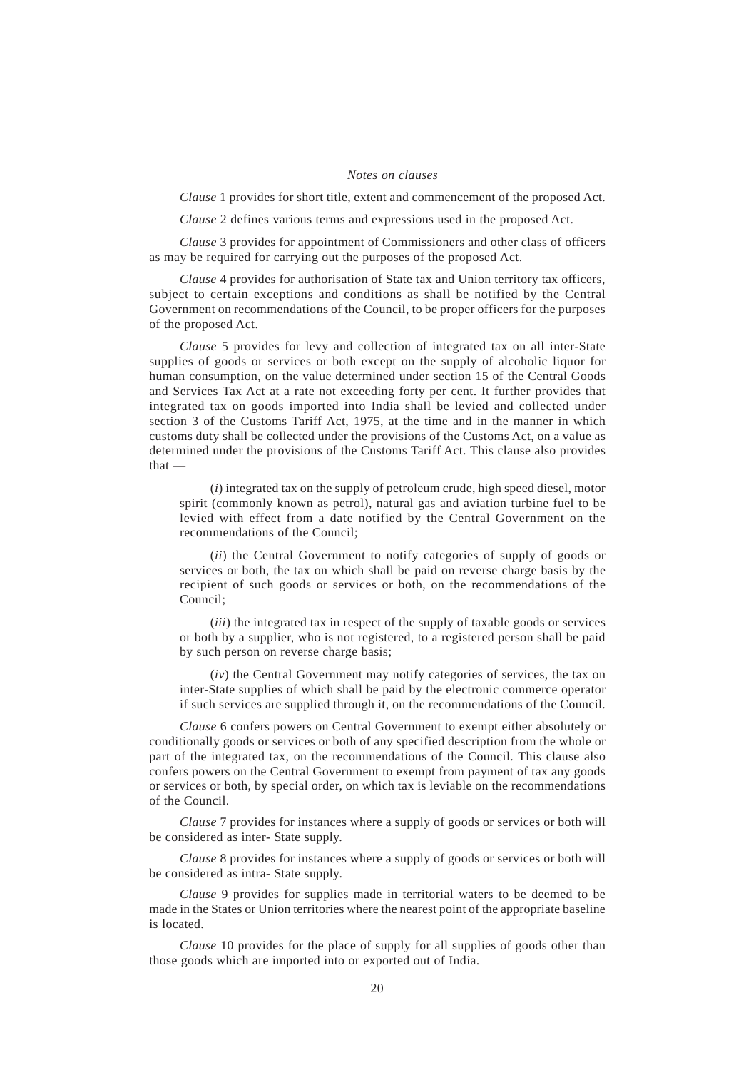#### *Notes on clauses*

*Clause* 1 provides for short title, extent and commencement of the proposed Act.

*Clause* 2 defines various terms and expressions used in the proposed Act.

*Clause* 3 provides for appointment of Commissioners and other class of officers as may be required for carrying out the purposes of the proposed Act.

*Clause* 4 provides for authorisation of State tax and Union territory tax officers, subject to certain exceptions and conditions as shall be notified by the Central Government on recommendations of the Council, to be proper officers for the purposes of the proposed Act.

*Clause* 5 provides for levy and collection of integrated tax on all inter-State supplies of goods or services or both except on the supply of alcoholic liquor for human consumption, on the value determined under section 15 of the Central Goods and Services Tax Act at a rate not exceeding forty per cent. It further provides that integrated tax on goods imported into India shall be levied and collected under section 3 of the Customs Tariff Act, 1975, at the time and in the manner in which customs duty shall be collected under the provisions of the Customs Act, on a value as determined under the provisions of the Customs Tariff Act. This clause also provides that —

(*i*) integrated tax on the supply of petroleum crude, high speed diesel, motor spirit (commonly known as petrol), natural gas and aviation turbine fuel to be levied with effect from a date notified by the Central Government on the recommendations of the Council;

(*ii*) the Central Government to notify categories of supply of goods or services or both, the tax on which shall be paid on reverse charge basis by the recipient of such goods or services or both, on the recommendations of the Council;

(*iii*) the integrated tax in respect of the supply of taxable goods or services or both by a supplier, who is not registered, to a registered person shall be paid by such person on reverse charge basis;

(*iv*) the Central Government may notify categories of services, the tax on inter-State supplies of which shall be paid by the electronic commerce operator if such services are supplied through it, on the recommendations of the Council.

*Clause* 6 confers powers on Central Government to exempt either absolutely or conditionally goods or services or both of any specified description from the whole or part of the integrated tax, on the recommendations of the Council. This clause also confers powers on the Central Government to exempt from payment of tax any goods or services or both, by special order, on which tax is leviable on the recommendations of the Council.

*Clause* 7 provides for instances where a supply of goods or services or both will be considered as inter- State supply.

*Clause* 8 provides for instances where a supply of goods or services or both will be considered as intra- State supply.

*Clause* 9 provides for supplies made in territorial waters to be deemed to be made in the States or Union territories where the nearest point of the appropriate baseline is located.

*Clause* 10 provides for the place of supply for all supplies of goods other than those goods which are imported into or exported out of India.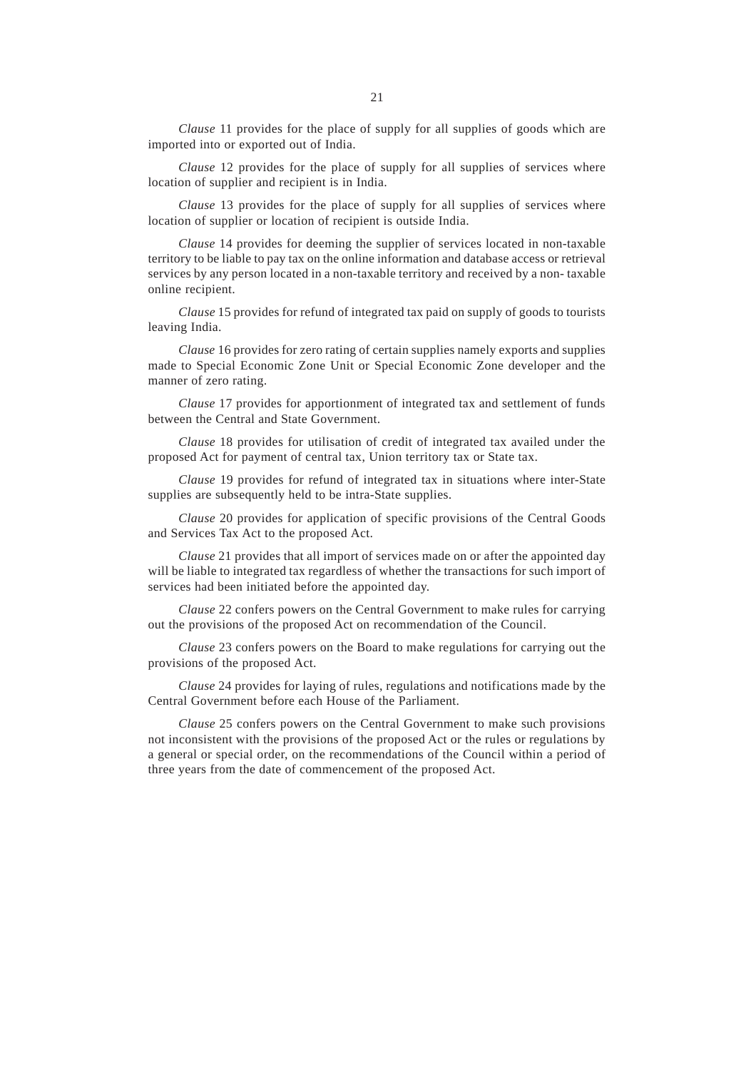*Clause* 11 provides for the place of supply for all supplies of goods which are imported into or exported out of India.

*Clause* 12 provides for the place of supply for all supplies of services where location of supplier and recipient is in India.

*Clause* 13 provides for the place of supply for all supplies of services where location of supplier or location of recipient is outside India.

*Clause* 14 provides for deeming the supplier of services located in non-taxable territory to be liable to pay tax on the online information and database access or retrieval services by any person located in a non-taxable territory and received by a non- taxable online recipient.

*Clause* 15 provides for refund of integrated tax paid on supply of goods to tourists leaving India.

*Clause* 16 provides for zero rating of certain supplies namely exports and supplies made to Special Economic Zone Unit or Special Economic Zone developer and the manner of zero rating.

*Clause* 17 provides for apportionment of integrated tax and settlement of funds between the Central and State Government.

*Clause* 18 provides for utilisation of credit of integrated tax availed under the proposed Act for payment of central tax, Union territory tax or State tax.

*Clause* 19 provides for refund of integrated tax in situations where inter-State supplies are subsequently held to be intra-State supplies.

*Clause* 20 provides for application of specific provisions of the Central Goods and Services Tax Act to the proposed Act.

*Clause* 21 provides that all import of services made on or after the appointed day will be liable to integrated tax regardless of whether the transactions for such import of services had been initiated before the appointed day.

*Clause* 22 confers powers on the Central Government to make rules for carrying out the provisions of the proposed Act on recommendation of the Council.

*Clause* 23 confers powers on the Board to make regulations for carrying out the provisions of the proposed Act.

*Clause* 24 provides for laying of rules, regulations and notifications made by the Central Government before each House of the Parliament.

*Clause* 25 confers powers on the Central Government to make such provisions not inconsistent with the provisions of the proposed Act or the rules or regulations by a general or special order, on the recommendations of the Council within a period of three years from the date of commencement of the proposed Act.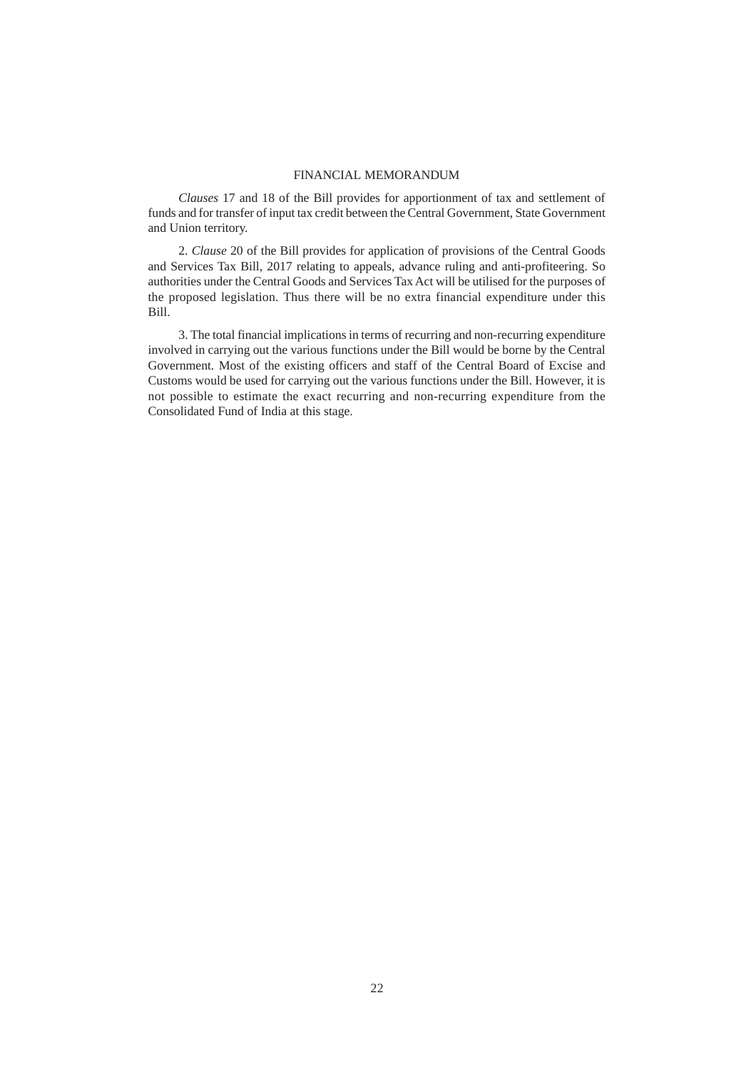#### FINANCIAL MEMORANDUM

*Clauses* 17 and 18 of the Bill provides for apportionment of tax and settlement of funds and for transfer of input tax credit between the Central Government, State Government and Union territory.

2. *Clause* 20 of the Bill provides for application of provisions of the Central Goods and Services Tax Bill, 2017 relating to appeals, advance ruling and anti-profiteering. So authorities under the Central Goods and Services Tax Act will be utilised for the purposes of the proposed legislation. Thus there will be no extra financial expenditure under this Bill.

3. The total financial implications in terms of recurring and non-recurring expenditure involved in carrying out the various functions under the Bill would be borne by the Central Government. Most of the existing officers and staff of the Central Board of Excise and Customs would be used for carrying out the various functions under the Bill. However, it is not possible to estimate the exact recurring and non-recurring expenditure from the Consolidated Fund of India at this stage.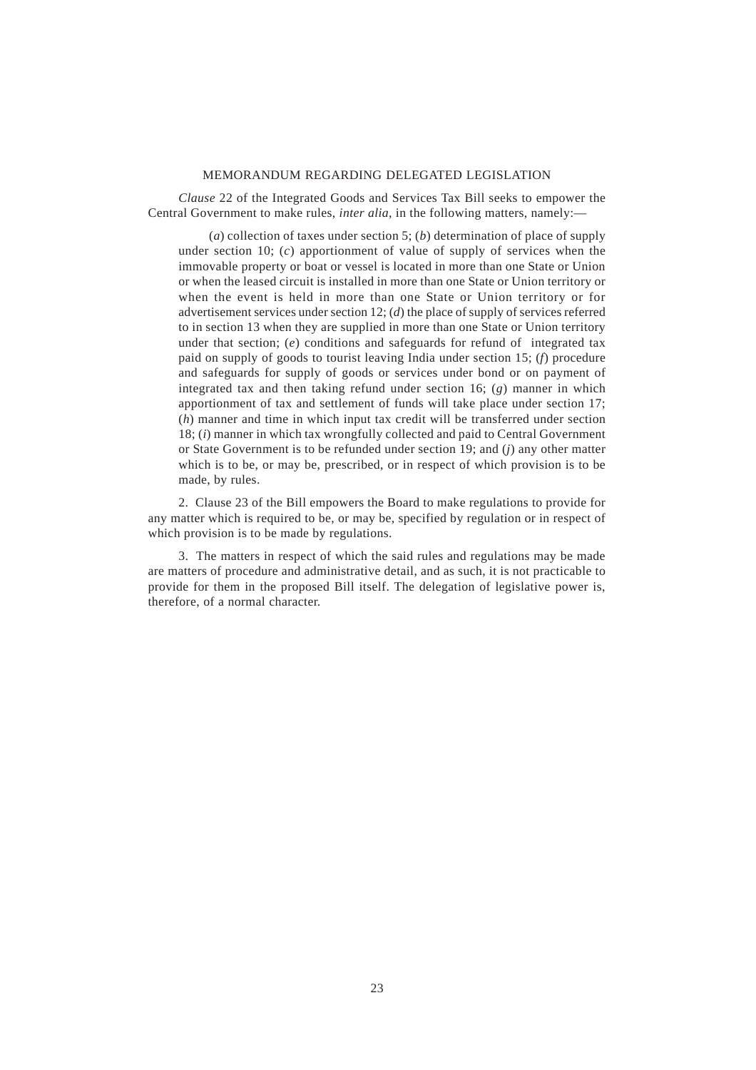## MEMORANDUM REGARDING DELEGATED LEGISLATION

*Clause* 22 of the Integrated Goods and Services Tax Bill seeks to empower the Central Government to make rules, *inter alia,* in the following matters, namely:—

(*a*) collection of taxes under section 5; (*b*) determination of place of supply under section 10; (*c*) apportionment of value of supply of services when the immovable property or boat or vessel is located in more than one State or Union or when the leased circuit is installed in more than one State or Union territory or when the event is held in more than one State or Union territory or for advertisement services under section 12; (*d*) the place of supply of services referred to in section 13 when they are supplied in more than one State or Union territory under that section; (*e*) conditions and safeguards for refund of integrated tax paid on supply of goods to tourist leaving India under section 15; (*f*) procedure and safeguards for supply of goods or services under bond or on payment of integrated tax and then taking refund under section 16; (*g*) manner in which apportionment of tax and settlement of funds will take place under section 17; (*h*) manner and time in which input tax credit will be transferred under section 18; (*i*) manner in which tax wrongfully collected and paid to Central Government or State Government is to be refunded under section 19; and (*j*) any other matter which is to be, or may be, prescribed, or in respect of which provision is to be made, by rules.

2. Clause 23 of the Bill empowers the Board to make regulations to provide for any matter which is required to be, or may be, specified by regulation or in respect of which provision is to be made by regulations.

3. The matters in respect of which the said rules and regulations may be made are matters of procedure and administrative detail, and as such, it is not practicable to provide for them in the proposed Bill itself. The delegation of legislative power is, therefore, of a normal character.